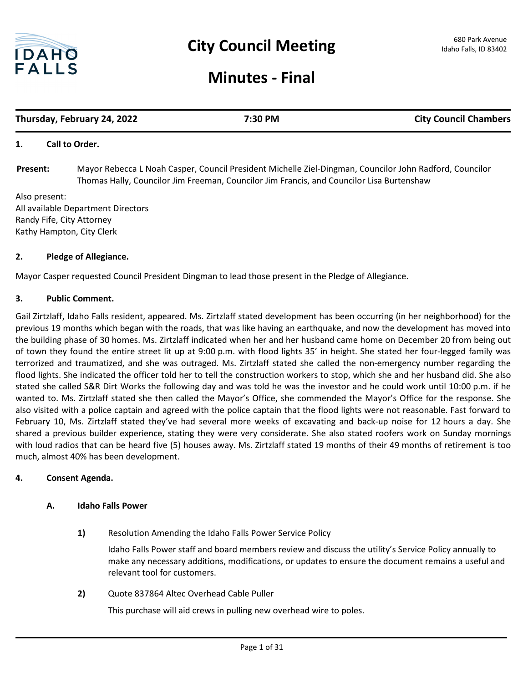

# **Minutes - Final**

# **Thursday, February 24, 2022 7:30 PM City Council Chambers**

# **1. Call to Order.**

Mayor Rebecca L Noah Casper, Council President Michelle Ziel-Dingman, Councilor John Radford, Councilor Thomas Hally, Councilor Jim Freeman, Councilor Jim Francis, and Councilor Lisa Burtenshaw **Present:**

Also present: All available Department Directors Randy Fife, City Attorney Kathy Hampton, City Clerk

# **2. Pledge of Allegiance.**

Mayor Casper requested Council President Dingman to lead those present in the Pledge of Allegiance.

# **3. Public Comment.**

Gail Zirtzlaff, Idaho Falls resident, appeared. Ms. Zirtzlaff stated development has been occurring (in her neighborhood) for the previous 19 months which began with the roads, that was like having an earthquake, and now the development has moved into the building phase of 30 homes. Ms. Zirtzlaff indicated when her and her husband came home on December 20 from being out of town they found the entire street lit up at 9:00 p.m. with flood lights 35' in height. She stated her four-legged family was terrorized and traumatized, and she was outraged. Ms. Zirtzlaff stated she called the non-emergency number regarding the flood lights. She indicated the officer told her to tell the construction workers to stop, which she and her husband did. She also stated she called S&R Dirt Works the following day and was told he was the investor and he could work until 10:00 p.m. if he wanted to. Ms. Zirtzlaff stated she then called the Mayor's Office, she commended the Mayor's Office for the response. She also visited with a police captain and agreed with the police captain that the flood lights were not reasonable. Fast forward to February 10, Ms. Zirtzlaff stated they've had several more weeks of excavating and back-up noise for 12 hours a day. She shared a previous builder experience, stating they were very considerate. She also stated roofers work on Sunday mornings with loud radios that can be heard five (5) houses away. Ms. Zirtzlaff stated 19 months of their 49 months of retirement is too much, almost 40% has been development.

#### **4. Consent Agenda.**

# **A. Idaho Falls Power**

**1)** Resolution Amending the Idaho Falls Power Service Policy

Idaho Falls Power staff and board members review and discuss the utility's Service Policy annually to make any necessary additions, modifications, or updates to ensure the document remains a useful and relevant tool for customers.

**2)** Quote 837864 Altec Overhead Cable Puller

This purchase will aid crews in pulling new overhead wire to poles.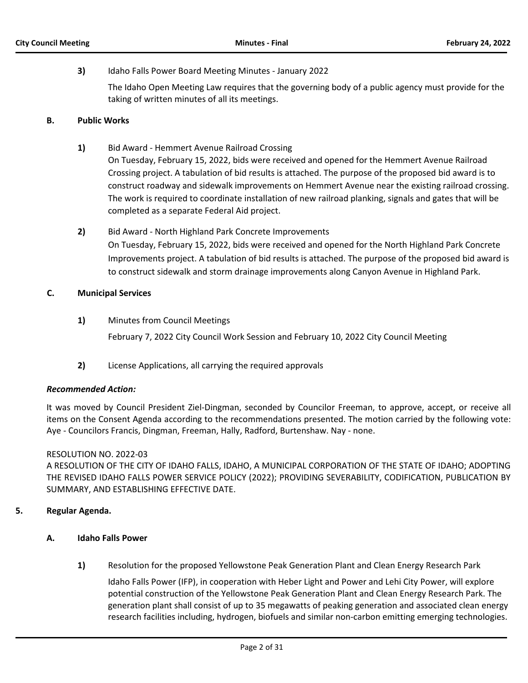# **3)** Idaho Falls Power Board Meeting Minutes - January 2022

The Idaho Open Meeting Law requires that the governing body of a public agency must provide for the taking of written minutes of all its meetings.

#### **B. Public Works**

- **1)** Bid Award Hemmert Avenue Railroad Crossing On Tuesday, February 15, 2022, bids were received and opened for the Hemmert Avenue Railroad Crossing project. A tabulation of bid results is attached. The purpose of the proposed bid award is to construct roadway and sidewalk improvements on Hemmert Avenue near the existing railroad crossing. The work is required to coordinate installation of new railroad planking, signals and gates that will be completed as a separate Federal Aid project.
- **2)** Bid Award North Highland Park Concrete Improvements On Tuesday, February 15, 2022, bids were received and opened for the North Highland Park Concrete Improvements project. A tabulation of bid results is attached. The purpose of the proposed bid award is to construct sidewalk and storm drainage improvements along Canyon Avenue in Highland Park.

# **C. Municipal Services**

- **1)** Minutes from Council Meetings February 7, 2022 City Council Work Session and February 10, 2022 City Council Meeting
- **2)** License Applications, all carrying the required approvals

#### *Recommended Action:*

It was moved by Council President Ziel-Dingman, seconded by Councilor Freeman, to approve, accept, or receive all items on the Consent Agenda according to the recommendations presented. The motion carried by the following vote: Aye - Councilors Francis, Dingman, Freeman, Hally, Radford, Burtenshaw. Nay - none.

#### RESOLUTION NO. 2022-03

A RESOLUTION OF THE CITY OF IDAHO FALLS, IDAHO, A MUNICIPAL CORPORATION OF THE STATE OF IDAHO; ADOPTING THE REVISED IDAHO FALLS POWER SERVICE POLICY (2022); PROVIDING SEVERABILITY, CODIFICATION, PUBLICATION BY SUMMARY, AND ESTABLISHING EFFECTIVE DATE.

# **5. Regular Agenda.**

- **A. Idaho Falls Power**
	- **1)** Resolution for the proposed Yellowstone Peak Generation Plant and Clean Energy Research Park

Idaho Falls Power (IFP), in cooperation with Heber Light and Power and Lehi City Power, will explore potential construction of the Yellowstone Peak Generation Plant and Clean Energy Research Park. The generation plant shall consist of up to 35 megawatts of peaking generation and associated clean energy research facilities including, hydrogen, biofuels and similar non-carbon emitting emerging technologies.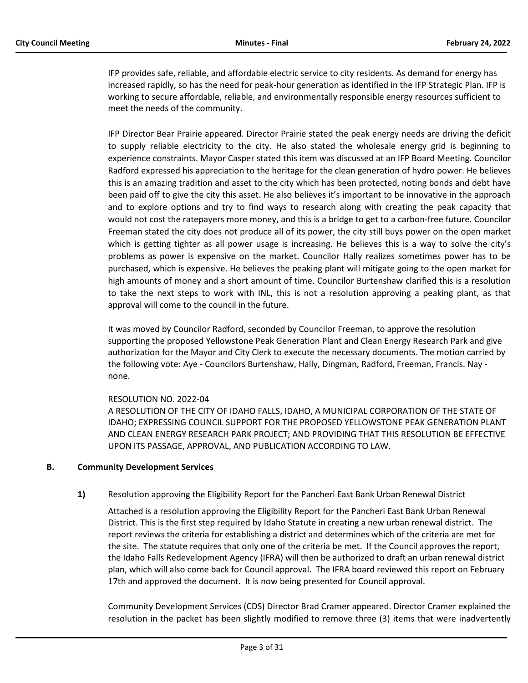IFP provides safe, reliable, and affordable electric service to city residents. As demand for energy has increased rapidly, so has the need for peak-hour generation as identified in the IFP Strategic Plan. IFP is working to secure affordable, reliable, and environmentally responsible energy resources sufficient to meet the needs of the community.

IFP Director Bear Prairie appeared. Director Prairie stated the peak energy needs are driving the deficit to supply reliable electricity to the city. He also stated the wholesale energy grid is beginning to experience constraints. Mayor Casper stated this item was discussed at an IFP Board Meeting. Councilor Radford expressed his appreciation to the heritage for the clean generation of hydro power. He believes this is an amazing tradition and asset to the city which has been protected, noting bonds and debt have been paid off to give the city this asset. He also believes it's important to be innovative in the approach and to explore options and try to find ways to research along with creating the peak capacity that would not cost the ratepayers more money, and this is a bridge to get to a carbon-free future. Councilor Freeman stated the city does not produce all of its power, the city still buys power on the open market which is getting tighter as all power usage is increasing. He believes this is a way to solve the city's problems as power is expensive on the market. Councilor Hally realizes sometimes power has to be purchased, which is expensive. He believes the peaking plant will mitigate going to the open market for high amounts of money and a short amount of time. Councilor Burtenshaw clarified this is a resolution to take the next steps to work with INL, this is not a resolution approving a peaking plant, as that approval will come to the council in the future.

It was moved by Councilor Radford, seconded by Councilor Freeman, to approve the resolution supporting the proposed Yellowstone Peak Generation Plant and Clean Energy Research Park and give authorization for the Mayor and City Clerk to execute the necessary documents. The motion carried by the following vote: Aye - Councilors Burtenshaw, Hally, Dingman, Radford, Freeman, Francis. Nay none.

# RESOLUTION NO. 2022-04

A RESOLUTION OF THE CITY OF IDAHO FALLS, IDAHO, A MUNICIPAL CORPORATION OF THE STATE OF IDAHO; EXPRESSING COUNCIL SUPPORT FOR THE PROPOSED YELLOWSTONE PEAK GENERATION PLANT AND CLEAN ENERGY RESEARCH PARK PROJECT; AND PROVIDING THAT THIS RESOLUTION BE EFFECTIVE UPON ITS PASSAGE, APPROVAL, AND PUBLICATION ACCORDING TO LAW.

# **B. Community Development Services**

**1)** Resolution approving the Eligibility Report for the Pancheri East Bank Urban Renewal District

Attached is a resolution approving the Eligibility Report for the Pancheri East Bank Urban Renewal District. This is the first step required by Idaho Statute in creating a new urban renewal district. The report reviews the criteria for establishing a district and determines which of the criteria are met for the site. The statute requires that only one of the criteria be met. If the Council approves the report, the Idaho Falls Redevelopment Agency (IFRA) will then be authorized to draft an urban renewal district plan, which will also come back for Council approval. The IFRA board reviewed this report on February 17th and approved the document. It is now being presented for Council approval.

Community Development Services (CDS) Director Brad Cramer appeared. Director Cramer explained the resolution in the packet has been slightly modified to remove three (3) items that were inadvertently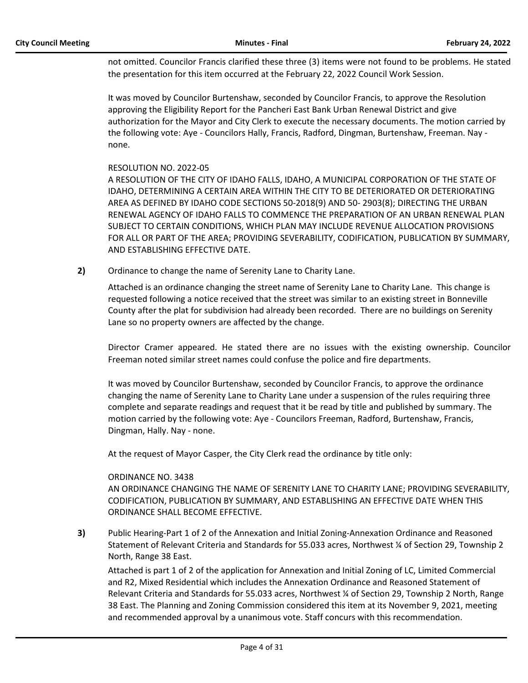not omitted. Councilor Francis clarified these three (3) items were not found to be problems. He stated the presentation for this item occurred at the February 22, 2022 Council Work Session.

It was moved by Councilor Burtenshaw, seconded by Councilor Francis, to approve the Resolution approving the Eligibility Report for the Pancheri East Bank Urban Renewal District and give authorization for the Mayor and City Clerk to execute the necessary documents. The motion carried by the following vote: Aye - Councilors Hally, Francis, Radford, Dingman, Burtenshaw, Freeman. Nay none.

# RESOLUTION NO. 2022-05

A RESOLUTION OF THE CITY OF IDAHO FALLS, IDAHO, A MUNICIPAL CORPORATION OF THE STATE OF IDAHO, DETERMINING A CERTAIN AREA WITHIN THE CITY TO BE DETERIORATED OR DETERIORATING AREA AS DEFINED BY IDAHO CODE SECTIONS 50-2018(9) AND 50- 2903(8); DIRECTING THE URBAN RENEWAL AGENCY OF IDAHO FALLS TO COMMENCE THE PREPARATION OF AN URBAN RENEWAL PLAN SUBJECT TO CERTAIN CONDITIONS, WHICH PLAN MAY INCLUDE REVENUE ALLOCATION PROVISIONS FOR ALL OR PART OF THE AREA; PROVIDING SEVERABILITY, CODIFICATION, PUBLICATION BY SUMMARY, AND ESTABLISHING EFFECTIVE DATE.

**2)** Ordinance to change the name of Serenity Lane to Charity Lane.

Attached is an ordinance changing the street name of Serenity Lane to Charity Lane. This change is requested following a notice received that the street was similar to an existing street in Bonneville County after the plat for subdivision had already been recorded. There are no buildings on Serenity Lane so no property owners are affected by the change.

Director Cramer appeared. He stated there are no issues with the existing ownership. Councilor Freeman noted similar street names could confuse the police and fire departments.

It was moved by Councilor Burtenshaw, seconded by Councilor Francis, to approve the ordinance changing the name of Serenity Lane to Charity Lane under a suspension of the rules requiring three complete and separate readings and request that it be read by title and published by summary. The motion carried by the following vote: Aye - Councilors Freeman, Radford, Burtenshaw, Francis, Dingman, Hally. Nay - none.

At the request of Mayor Casper, the City Clerk read the ordinance by title only:

#### ORDINANCE NO. 3438

AN ORDINANCE CHANGING THE NAME OF SERENITY LANE TO CHARITY LANE; PROVIDING SEVERABILITY, CODIFICATION, PUBLICATION BY SUMMARY, AND ESTABLISHING AN EFFECTIVE DATE WHEN THIS ORDINANCE SHALL BECOME EFFECTIVE.

**3)** Public Hearing-Part 1 of 2 of the Annexation and Initial Zoning-Annexation Ordinance and Reasoned Statement of Relevant Criteria and Standards for 55.033 acres, Northwest ¼ of Section 29, Township 2 North, Range 38 East.

Attached is part 1 of 2 of the application for Annexation and Initial Zoning of LC, Limited Commercial and R2, Mixed Residential which includes the Annexation Ordinance and Reasoned Statement of Relevant Criteria and Standards for 55.033 acres, Northwest ¼ of Section 29, Township 2 North, Range 38 East. The Planning and Zoning Commission considered this item at its November 9, 2021, meeting and recommended approval by a unanimous vote. Staff concurs with this recommendation.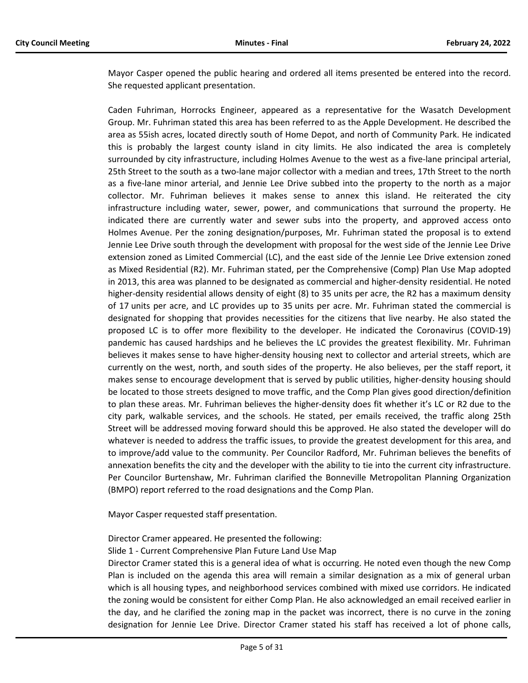Mayor Casper opened the public hearing and ordered all items presented be entered into the record. She requested applicant presentation.

Caden Fuhriman, Horrocks Engineer, appeared as a representative for the Wasatch Development Group. Mr. Fuhriman stated this area has been referred to as the Apple Development. He described the area as 55ish acres, located directly south of Home Depot, and north of Community Park. He indicated this is probably the largest county island in city limits. He also indicated the area is completely surrounded by city infrastructure, including Holmes Avenue to the west as a five-lane principal arterial, 25th Street to the south as a two-lane major collector with a median and trees, 17th Street to the north as a five-lane minor arterial, and Jennie Lee Drive subbed into the property to the north as a major collector. Mr. Fuhriman believes it makes sense to annex this island. He reiterated the city infrastructure including water, sewer, power, and communications that surround the property. He indicated there are currently water and sewer subs into the property, and approved access onto Holmes Avenue. Per the zoning designation/purposes, Mr. Fuhriman stated the proposal is to extend Jennie Lee Drive south through the development with proposal for the west side of the Jennie Lee Drive extension zoned as Limited Commercial (LC), and the east side of the Jennie Lee Drive extension zoned as Mixed Residential (R2). Mr. Fuhriman stated, per the Comprehensive (Comp) Plan Use Map adopted in 2013, this area was planned to be designated as commercial and higher-density residential. He noted higher-density residential allows density of eight (8) to 35 units per acre, the R2 has a maximum density of 17 units per acre, and LC provides up to 35 units per acre. Mr. Fuhriman stated the commercial is designated for shopping that provides necessities for the citizens that live nearby. He also stated the proposed LC is to offer more flexibility to the developer. He indicated the Coronavirus (COVID-19) pandemic has caused hardships and he believes the LC provides the greatest flexibility. Mr. Fuhriman believes it makes sense to have higher-density housing next to collector and arterial streets, which are currently on the west, north, and south sides of the property. He also believes, per the staff report, it makes sense to encourage development that is served by public utilities, higher-density housing should be located to those streets designed to move traffic, and the Comp Plan gives good direction/definition to plan these areas. Mr. Fuhriman believes the higher-density does fit whether it's LC or R2 due to the city park, walkable services, and the schools. He stated, per emails received, the traffic along 25th Street will be addressed moving forward should this be approved. He also stated the developer will do whatever is needed to address the traffic issues, to provide the greatest development for this area, and to improve/add value to the community. Per Councilor Radford, Mr. Fuhriman believes the benefits of annexation benefits the city and the developer with the ability to tie into the current city infrastructure. Per Councilor Burtenshaw, Mr. Fuhriman clarified the Bonneville Metropolitan Planning Organization (BMPO) report referred to the road designations and the Comp Plan.

Mayor Casper requested staff presentation.

Director Cramer appeared. He presented the following:

Slide 1 - Current Comprehensive Plan Future Land Use Map

Director Cramer stated this is a general idea of what is occurring. He noted even though the new Comp Plan is included on the agenda this area will remain a similar designation as a mix of general urban which is all housing types, and neighborhood services combined with mixed use corridors. He indicated the zoning would be consistent for either Comp Plan. He also acknowledged an email received earlier in the day, and he clarified the zoning map in the packet was incorrect, there is no curve in the zoning designation for Jennie Lee Drive. Director Cramer stated his staff has received a lot of phone calls,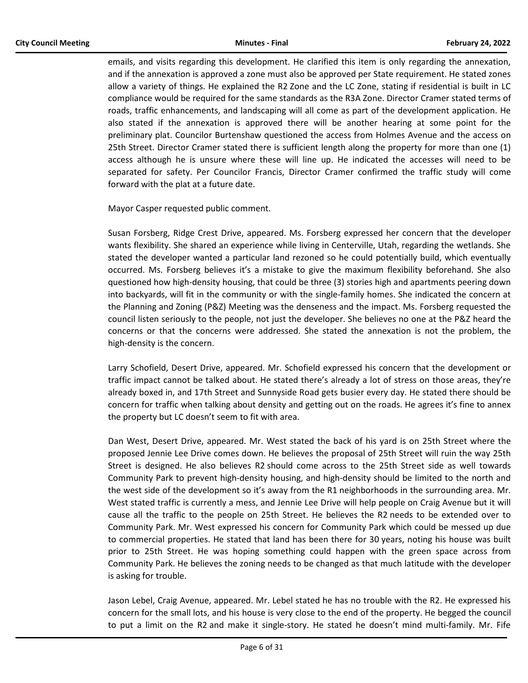emails, and visits regarding this development. He clarified this item is only regarding the annexation, and if the annexation is approved a zone must also be approved per State requirement. He stated zones allow a variety of things. He explained the R2 Zone and the LC Zone, stating if residential is built in LC compliance would be required for the same standards as the R3A Zone. Director Cramer stated terms of roads, traffic enhancements, and landscaping will all come as part of the development application. He also stated if the annexation is approved there will be another hearing at some point for the preliminary plat. Councilor Burtenshaw questioned the access from Holmes Avenue and the access on 25th Street. Director Cramer stated there is sufficient length along the property for more than one (1) access although he is unsure where these will line up. He indicated the accesses will need to be separated for safety. Per Councilor Francis, Director Cramer confirmed the traffic study will come forward with the plat at a future date.

Mayor Casper requested public comment.

Susan Forsberg, Ridge Crest Drive, appeared. Ms. Forsberg expressed her concern that the developer wants flexibility. She shared an experience while living in Centerville, Utah, regarding the wetlands. She stated the developer wanted a particular land rezoned so he could potentially build, which eventually occurred. Ms. Forsberg believes it's a mistake to give the maximum flexibility beforehand. She also questioned how high-density housing, that could be three (3) stories high and apartments peering down into backyards, will fit in the community or with the single-family homes. She indicated the concern at the Planning and Zoning (P&Z) Meeting was the denseness and the impact. Ms. Forsberg requested the council listen seriously to the people, not just the developer. She believes no one at the P&Z heard the concerns or that the concerns were addressed. She stated the annexation is not the problem, the high-density is the concern.

Larry Schofield, Desert Drive, appeared. Mr. Schofield expressed his concern that the development or traffic impact cannot be talked about. He stated there's already a lot of stress on those areas, they're already boxed in, and 17th Street and Sunnyside Road gets busier every day. He stated there should be concern for traffic when talking about density and getting out on the roads. He agrees it's fine to annex the property but LC doesn't seem to fit with area.

Dan West, Desert Drive, appeared. Mr. West stated the back of his yard is on 25th Street where the proposed Jennie Lee Drive comes down. He believes the proposal of 25th Street will ruin the way 25th Street is designed. He also believes R2 should come across to the 25th Street side as well towards Community Park to prevent high-density housing, and high-density should be limited to the north and the west side of the development so it's away from the R1 neighborhoods in the surrounding area. Mr. West stated traffic is currently a mess, and Jennie Lee Drive will help people on Craig Avenue but it will cause all the traffic to the people on 25th Street. He believes the R2 needs to be extended over to Community Park. Mr. West expressed his concern for Community Park which could be messed up due to commercial properties. He stated that land has been there for 30 years, noting his house was built prior to 25th Street. He was hoping something could happen with the green space across from Community Park. He believes the zoning needs to be changed as that much latitude with the developer is asking for trouble.

Jason Lebel, Craig Avenue, appeared. Mr. Lebel stated he has no trouble with the R2. He expressed his concern for the small lots, and his house is very close to the end of the property. He begged the council to put a limit on the R2 and make it single-story. He stated he doesn't mind multi-family. Mr. Fife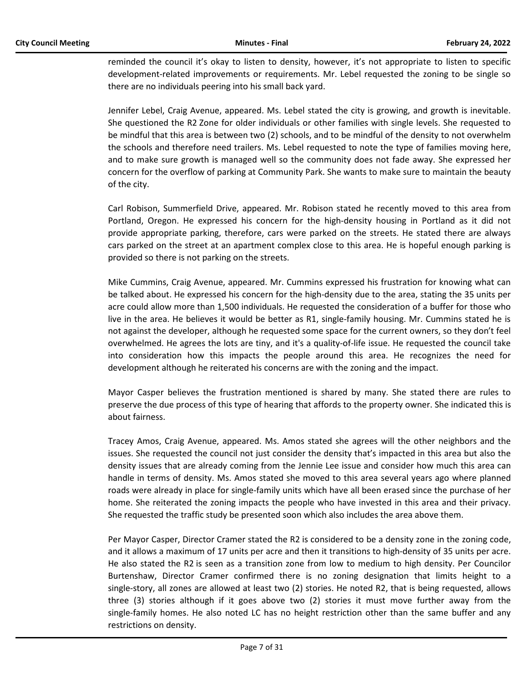reminded the council it's okay to listen to density, however, it's not appropriate to listen to specific development-related improvements or requirements. Mr. Lebel requested the zoning to be single so there are no individuals peering into his small back yard.

Jennifer Lebel, Craig Avenue, appeared. Ms. Lebel stated the city is growing, and growth is inevitable. She questioned the R2 Zone for older individuals or other families with single levels. She requested to be mindful that this area is between two (2) schools, and to be mindful of the density to not overwhelm the schools and therefore need trailers. Ms. Lebel requested to note the type of families moving here, and to make sure growth is managed well so the community does not fade away. She expressed her concern for the overflow of parking at Community Park. She wants to make sure to maintain the beauty of the city.

Carl Robison, Summerfield Drive, appeared. Mr. Robison stated he recently moved to this area from Portland, Oregon. He expressed his concern for the high-density housing in Portland as it did not provide appropriate parking, therefore, cars were parked on the streets. He stated there are always cars parked on the street at an apartment complex close to this area. He is hopeful enough parking is provided so there is not parking on the streets.

Mike Cummins, Craig Avenue, appeared. Mr. Cummins expressed his frustration for knowing what can be talked about. He expressed his concern for the high-density due to the area, stating the 35 units per acre could allow more than 1,500 individuals. He requested the consideration of a buffer for those who live in the area. He believes it would be better as R1, single-family housing. Mr. Cummins stated he is not against the developer, although he requested some space for the current owners, so they don't feel overwhelmed. He agrees the lots are tiny, and it's a quality-of-life issue. He requested the council take into consideration how this impacts the people around this area. He recognizes the need for development although he reiterated his concerns are with the zoning and the impact.

Mayor Casper believes the frustration mentioned is shared by many. She stated there are rules to preserve the due process of this type of hearing that affords to the property owner. She indicated this is about fairness.

Tracey Amos, Craig Avenue, appeared. Ms. Amos stated she agrees will the other neighbors and the issues. She requested the council not just consider the density that's impacted in this area but also the density issues that are already coming from the Jennie Lee issue and consider how much this area can handle in terms of density. Ms. Amos stated she moved to this area several years ago where planned roads were already in place for single-family units which have all been erased since the purchase of her home. She reiterated the zoning impacts the people who have invested in this area and their privacy. She requested the traffic study be presented soon which also includes the area above them.

Per Mayor Casper, Director Cramer stated the R2 is considered to be a density zone in the zoning code, and it allows a maximum of 17 units per acre and then it transitions to high-density of 35 units per acre. He also stated the R2 is seen as a transition zone from low to medium to high density. Per Councilor Burtenshaw, Director Cramer confirmed there is no zoning designation that limits height to a single-story, all zones are allowed at least two (2) stories. He noted R2, that is being requested, allows three (3) stories although if it goes above two (2) stories it must move further away from the single-family homes. He also noted LC has no height restriction other than the same buffer and any restrictions on density.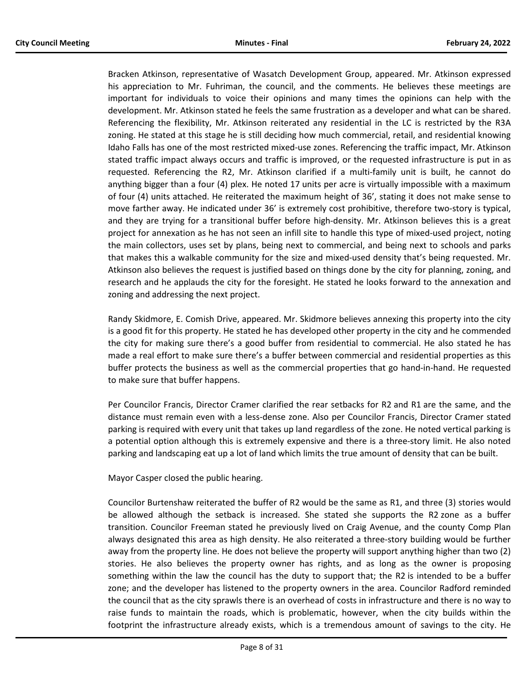Bracken Atkinson, representative of Wasatch Development Group, appeared. Mr. Atkinson expressed his appreciation to Mr. Fuhriman, the council, and the comments. He believes these meetings are important for individuals to voice their opinions and many times the opinions can help with the development. Mr. Atkinson stated he feels the same frustration as a developer and what can be shared. Referencing the flexibility, Mr. Atkinson reiterated any residential in the LC is restricted by the R3A zoning. He stated at this stage he is still deciding how much commercial, retail, and residential knowing Idaho Falls has one of the most restricted mixed-use zones. Referencing the traffic impact, Mr. Atkinson stated traffic impact always occurs and traffic is improved, or the requested infrastructure is put in as requested. Referencing the R2, Mr. Atkinson clarified if a multi-family unit is built, he cannot do anything bigger than a four (4) plex. He noted 17 units per acre is virtually impossible with a maximum of four (4) units attached. He reiterated the maximum height of 36', stating it does not make sense to move farther away. He indicated under 36' is extremely cost prohibitive, therefore two-story is typical, and they are trying for a transitional buffer before high-density. Mr. Atkinson believes this is a great project for annexation as he has not seen an infill site to handle this type of mixed-used project, noting the main collectors, uses set by plans, being next to commercial, and being next to schools and parks that makes this a walkable community for the size and mixed-used density that's being requested. Mr. Atkinson also believes the request is justified based on things done by the city for planning, zoning, and research and he applauds the city for the foresight. He stated he looks forward to the annexation and zoning and addressing the next project.

Randy Skidmore, E. Comish Drive, appeared. Mr. Skidmore believes annexing this property into the city is a good fit for this property. He stated he has developed other property in the city and he commended the city for making sure there's a good buffer from residential to commercial. He also stated he has made a real effort to make sure there's a buffer between commercial and residential properties as this buffer protects the business as well as the commercial properties that go hand-in-hand. He requested to make sure that buffer happens.

Per Councilor Francis, Director Cramer clarified the rear setbacks for R2 and R1 are the same, and the distance must remain even with a less-dense zone. Also per Councilor Francis, Director Cramer stated parking is required with every unit that takes up land regardless of the zone. He noted vertical parking is a potential option although this is extremely expensive and there is a three-story limit. He also noted parking and landscaping eat up a lot of land which limits the true amount of density that can be built.

Mayor Casper closed the public hearing.

Councilor Burtenshaw reiterated the buffer of R2 would be the same as R1, and three (3) stories would be allowed although the setback is increased. She stated she supports the R2 zone as a buffer transition. Councilor Freeman stated he previously lived on Craig Avenue, and the county Comp Plan always designated this area as high density. He also reiterated a three-story building would be further away from the property line. He does not believe the property will support anything higher than two (2) stories. He also believes the property owner has rights, and as long as the owner is proposing something within the law the council has the duty to support that; the R2 is intended to be a buffer zone; and the developer has listened to the property owners in the area. Councilor Radford reminded the council that as the city sprawls there is an overhead of costs in infrastructure and there is no way to raise funds to maintain the roads, which is problematic, however, when the city builds within the footprint the infrastructure already exists, which is a tremendous amount of savings to the city. He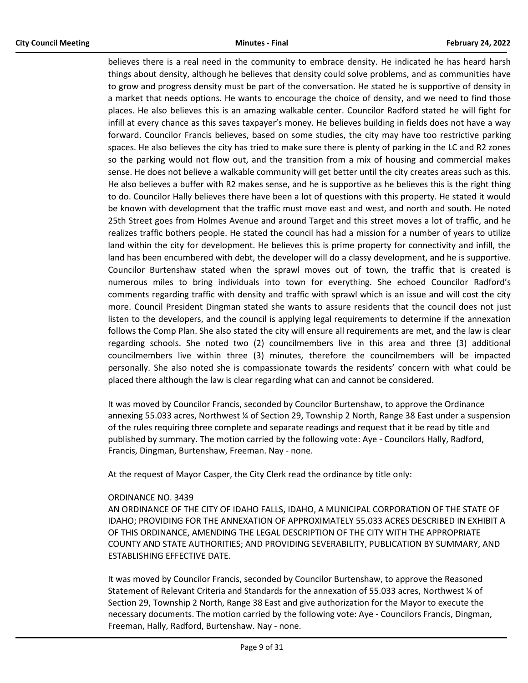believes there is a real need in the community to embrace density. He indicated he has heard harsh things about density, although he believes that density could solve problems, and as communities have to grow and progress density must be part of the conversation. He stated he is supportive of density in a market that needs options. He wants to encourage the choice of density, and we need to find those places. He also believes this is an amazing walkable center. Councilor Radford stated he will fight for infill at every chance as this saves taxpayer's money. He believes building in fields does not have a way forward. Councilor Francis believes, based on some studies, the city may have too restrictive parking spaces. He also believes the city has tried to make sure there is plenty of parking in the LC and R2 zones so the parking would not flow out, and the transition from a mix of housing and commercial makes sense. He does not believe a walkable community will get better until the city creates areas such as this. He also believes a buffer with R2 makes sense, and he is supportive as he believes this is the right thing to do. Councilor Hally believes there have been a lot of questions with this property. He stated it would be known with development that the traffic must move east and west, and north and south. He noted 25th Street goes from Holmes Avenue and around Target and this street moves a lot of traffic, and he realizes traffic bothers people. He stated the council has had a mission for a number of years to utilize land within the city for development. He believes this is prime property for connectivity and infill, the land has been encumbered with debt, the developer will do a classy development, and he is supportive. Councilor Burtenshaw stated when the sprawl moves out of town, the traffic that is created is numerous miles to bring individuals into town for everything. She echoed Councilor Radford's comments regarding traffic with density and traffic with sprawl which is an issue and will cost the city more. Council President Dingman stated she wants to assure residents that the council does not just listen to the developers, and the council is applying legal requirements to determine if the annexation follows the Comp Plan. She also stated the city will ensure all requirements are met, and the law is clear regarding schools. She noted two (2) councilmembers live in this area and three (3) additional councilmembers live within three (3) minutes, therefore the councilmembers will be impacted personally. She also noted she is compassionate towards the residents' concern with what could be placed there although the law is clear regarding what can and cannot be considered.

It was moved by Councilor Francis, seconded by Councilor Burtenshaw, to approve the Ordinance annexing 55.033 acres, Northwest ¼ of Section 29, Township 2 North, Range 38 East under a suspension of the rules requiring three complete and separate readings and request that it be read by title and published by summary. The motion carried by the following vote: Aye - Councilors Hally, Radford, Francis, Dingman, Burtenshaw, Freeman. Nay - none.

At the request of Mayor Casper, the City Clerk read the ordinance by title only:

# ORDINANCE NO. 3439

AN ORDINANCE OF THE CITY OF IDAHO FALLS, IDAHO, A MUNICIPAL CORPORATION OF THE STATE OF IDAHO; PROVIDING FOR THE ANNEXATION OF APPROXIMATELY 55.033 ACRES DESCRIBED IN EXHIBIT A OF THIS ORDINANCE, AMENDING THE LEGAL DESCRIPTION OF THE CITY WITH THE APPROPRIATE COUNTY AND STATE AUTHORITIES; AND PROVIDING SEVERABILITY, PUBLICATION BY SUMMARY, AND ESTABLISHING EFFECTIVE DATE.

It was moved by Councilor Francis, seconded by Councilor Burtenshaw, to approve the Reasoned Statement of Relevant Criteria and Standards for the annexation of 55.033 acres, Northwest ¼ of Section 29, Township 2 North, Range 38 East and give authorization for the Mayor to execute the necessary documents. The motion carried by the following vote: Aye - Councilors Francis, Dingman, Freeman, Hally, Radford, Burtenshaw. Nay - none.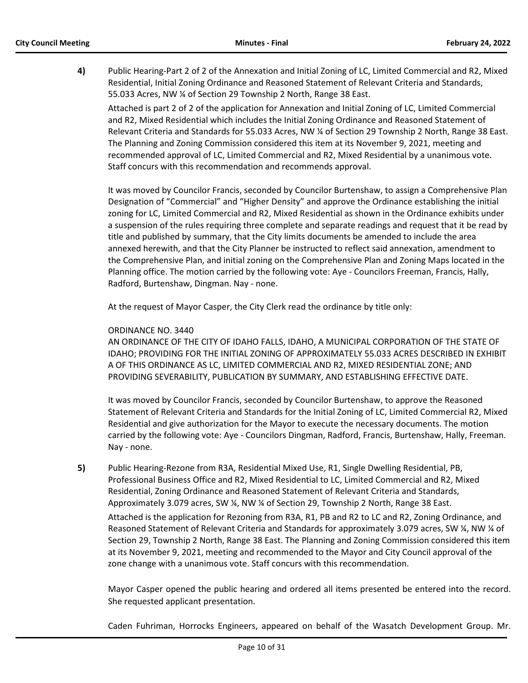**4)** Public Hearing-Part 2 of 2 of the Annexation and Initial Zoning of LC, Limited Commercial and R2, Mixed Residential, Initial Zoning Ordinance and Reasoned Statement of Relevant Criteria and Standards, 55.033 Acres, NW ¼ of Section 29 Township 2 North, Range 38 East.

Attached is part 2 of 2 of the application for Annexation and Initial Zoning of LC, Limited Commercial and R2, Mixed Residential which includes the Initial Zoning Ordinance and Reasoned Statement of Relevant Criteria and Standards for 55.033 Acres, NW ¼ of Section 29 Township 2 North, Range 38 East. The Planning and Zoning Commission considered this item at its November 9, 2021, meeting and recommended approval of LC, Limited Commercial and R2, Mixed Residential by a unanimous vote. Staff concurs with this recommendation and recommends approval.

It was moved by Councilor Francis, seconded by Councilor Burtenshaw, to assign a Comprehensive Plan Designation of "Commercial" and "Higher Density" and approve the Ordinance establishing the initial zoning for LC, Limited Commercial and R2, Mixed Residential as shown in the Ordinance exhibits under a suspension of the rules requiring three complete and separate readings and request that it be read by title and published by summary, that the City limits documents be amended to include the area annexed herewith, and that the City Planner be instructed to reflect said annexation, amendment to the Comprehensive Plan, and initial zoning on the Comprehensive Plan and Zoning Maps located in the Planning office. The motion carried by the following vote: Aye - Councilors Freeman, Francis, Hally, Radford, Burtenshaw, Dingman. Nay - none.

At the request of Mayor Casper, the City Clerk read the ordinance by title only:

# ORDINANCE NO. 3440

AN ORDINANCE OF THE CITY OF IDAHO FALLS, IDAHO, A MUNICIPAL CORPORATION OF THE STATE OF IDAHO; PROVIDING FOR THE INITIAL ZONING OF APPROXIMATELY 55.033 ACRES DESCRIBED IN EXHIBIT A OF THIS ORDINANCE AS LC, LIMITED COMMERCIAL AND R2, MIXED RESIDENTIAL ZONE; AND PROVIDING SEVERABILITY, PUBLICATION BY SUMMARY, AND ESTABLISHING EFFECTIVE DATE.

It was moved by Councilor Francis, seconded by Councilor Burtenshaw, to approve the Reasoned Statement of Relevant Criteria and Standards for the Initial Zoning of LC, Limited Commercial R2, Mixed Residential and give authorization for the Mayor to execute the necessary documents. The motion carried by the following vote: Aye - Councilors Dingman, Radford, Francis, Burtenshaw, Hally, Freeman. Nay - none.

**5)** Public Hearing-Rezone from R3A, Residential Mixed Use, R1, Single Dwelling Residential, PB, Professional Business Office and R2, Mixed Residential to LC, Limited Commercial and R2, Mixed Residential, Zoning Ordinance and Reasoned Statement of Relevant Criteria and Standards, Approximately 3.079 acres, SW ¼, NW ¼ of Section 29, Township 2 North, Range 38 East. Attached is the application for Rezoning from R3A, R1, PB and R2 to LC and R2, Zoning Ordinance, and Reasoned Statement of Relevant Criteria and Standards for approximately 3.079 acres, SW ¼, NW ¼ of Section 29, Township 2 North, Range 38 East. The Planning and Zoning Commission considered this item at its November 9, 2021, meeting and recommended to the Mayor and City Council approval of the zone change with a unanimous vote. Staff concurs with this recommendation.

Mayor Casper opened the public hearing and ordered all items presented be entered into the record. She requested applicant presentation.

Caden Fuhriman, Horrocks Engineers, appeared on behalf of the Wasatch Development Group. Mr.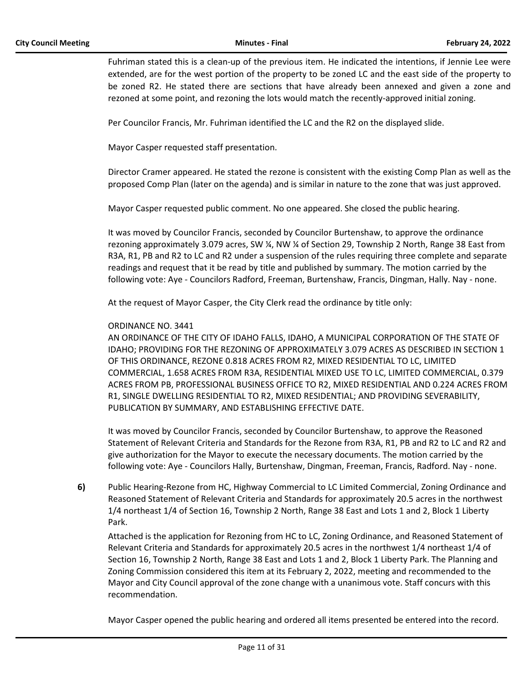Fuhriman stated this is a clean-up of the previous item. He indicated the intentions, if Jennie Lee were extended, are for the west portion of the property to be zoned LC and the east side of the property to be zoned R2. He stated there are sections that have already been annexed and given a zone and rezoned at some point, and rezoning the lots would match the recently-approved initial zoning.

Per Councilor Francis, Mr. Fuhriman identified the LC and the R2 on the displayed slide.

Mayor Casper requested staff presentation.

Director Cramer appeared. He stated the rezone is consistent with the existing Comp Plan as well as the proposed Comp Plan (later on the agenda) and is similar in nature to the zone that was just approved.

Mayor Casper requested public comment. No one appeared. She closed the public hearing.

It was moved by Councilor Francis, seconded by Councilor Burtenshaw, to approve the ordinance rezoning approximately 3.079 acres, SW ¼, NW ¼ of Section 29, Township 2 North, Range 38 East from R3A, R1, PB and R2 to LC and R2 under a suspension of the rules requiring three complete and separate readings and request that it be read by title and published by summary. The motion carried by the following vote: Aye - Councilors Radford, Freeman, Burtenshaw, Francis, Dingman, Hally. Nay - none.

At the request of Mayor Casper, the City Clerk read the ordinance by title only:

#### ORDINANCE NO. 3441

AN ORDINANCE OF THE CITY OF IDAHO FALLS, IDAHO, A MUNICIPAL CORPORATION OF THE STATE OF IDAHO; PROVIDING FOR THE REZONING OF APPROXIMATELY 3.079 ACRES AS DESCRIBED IN SECTION 1 OF THIS ORDINANCE, REZONE 0.818 ACRES FROM R2, MIXED RESIDENTIAL TO LC, LIMITED COMMERCIAL, 1.658 ACRES FROM R3A, RESIDENTIAL MIXED USE TO LC, LIMITED COMMERCIAL, 0.379 ACRES FROM PB, PROFESSIONAL BUSINESS OFFICE TO R2, MIXED RESIDENTIAL AND 0.224 ACRES FROM R1, SINGLE DWELLING RESIDENTIAL TO R2, MIXED RESIDENTIAL; AND PROVIDING SEVERABILITY, PUBLICATION BY SUMMARY, AND ESTABLISHING EFFECTIVE DATE.

It was moved by Councilor Francis, seconded by Councilor Burtenshaw, to approve the Reasoned Statement of Relevant Criteria and Standards for the Rezone from R3A, R1, PB and R2 to LC and R2 and give authorization for the Mayor to execute the necessary documents. The motion carried by the following vote: Aye - Councilors Hally, Burtenshaw, Dingman, Freeman, Francis, Radford. Nay - none.

**6)** Public Hearing-Rezone from HC, Highway Commercial to LC Limited Commercial, Zoning Ordinance and Reasoned Statement of Relevant Criteria and Standards for approximately 20.5 acres in the northwest 1/4 northeast 1/4 of Section 16, Township 2 North, Range 38 East and Lots 1 and 2, Block 1 Liberty Park.

Attached is the application for Rezoning from HC to LC, Zoning Ordinance, and Reasoned Statement of Relevant Criteria and Standards for approximately 20.5 acres in the northwest 1/4 northeast 1/4 of Section 16, Township 2 North, Range 38 East and Lots 1 and 2, Block 1 Liberty Park. The Planning and Zoning Commission considered this item at its February 2, 2022, meeting and recommended to the Mayor and City Council approval of the zone change with a unanimous vote. Staff concurs with this recommendation.

Mayor Casper opened the public hearing and ordered all items presented be entered into the record.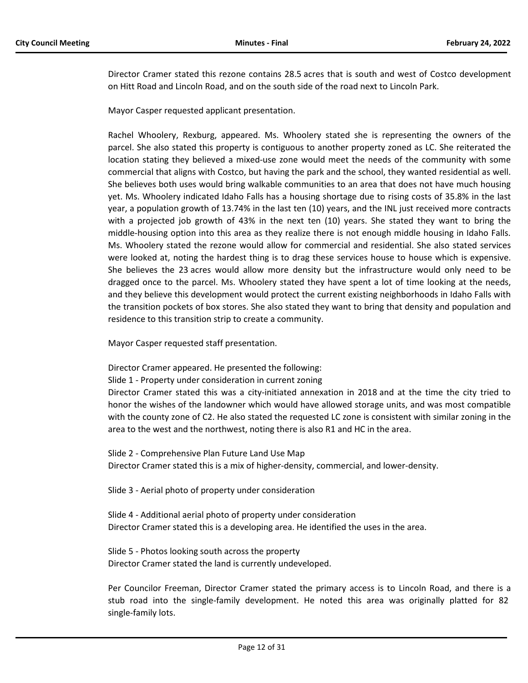Director Cramer stated this rezone contains 28.5 acres that is south and west of Costco development on Hitt Road and Lincoln Road, and on the south side of the road next to Lincoln Park.

Mayor Casper requested applicant presentation.

Rachel Whoolery, Rexburg, appeared. Ms. Whoolery stated she is representing the owners of the parcel. She also stated this property is contiguous to another property zoned as LC. She reiterated the location stating they believed a mixed-use zone would meet the needs of the community with some commercial that aligns with Costco, but having the park and the school, they wanted residential as well. She believes both uses would bring walkable communities to an area that does not have much housing yet. Ms. Whoolery indicated Idaho Falls has a housing shortage due to rising costs of 35.8% in the last year, a population growth of 13.74% in the last ten (10) years, and the INL just received more contracts with a projected job growth of 43% in the next ten (10) years. She stated they want to bring the middle-housing option into this area as they realize there is not enough middle housing in Idaho Falls. Ms. Whoolery stated the rezone would allow for commercial and residential. She also stated services were looked at, noting the hardest thing is to drag these services house to house which is expensive. She believes the 23 acres would allow more density but the infrastructure would only need to be dragged once to the parcel. Ms. Whoolery stated they have spent a lot of time looking at the needs, and they believe this development would protect the current existing neighborhoods in Idaho Falls with the transition pockets of box stores. She also stated they want to bring that density and population and residence to this transition strip to create a community.

Mayor Casper requested staff presentation.

Director Cramer appeared. He presented the following:

Slide 1 - Property under consideration in current zoning

Director Cramer stated this was a city-initiated annexation in 2018 and at the time the city tried to honor the wishes of the landowner which would have allowed storage units, and was most compatible with the county zone of C2. He also stated the requested LC zone is consistent with similar zoning in the area to the west and the northwest, noting there is also R1 and HC in the area.

Slide 2 - Comprehensive Plan Future Land Use Map Director Cramer stated this is a mix of higher-density, commercial, and lower-density.

Slide 3 - Aerial photo of property under consideration

Slide 4 - Additional aerial photo of property under consideration Director Cramer stated this is a developing area. He identified the uses in the area.

Slide 5 - Photos looking south across the property Director Cramer stated the land is currently undeveloped.

Per Councilor Freeman, Director Cramer stated the primary access is to Lincoln Road, and there is a stub road into the single-family development. He noted this area was originally platted for 82 single-family lots.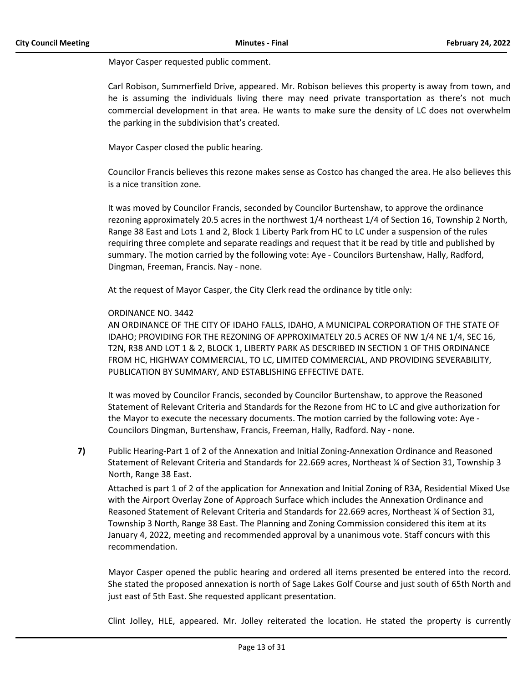Mayor Casper requested public comment.

Carl Robison, Summerfield Drive, appeared. Mr. Robison believes this property is away from town, and he is assuming the individuals living there may need private transportation as there's not much commercial development in that area. He wants to make sure the density of LC does not overwhelm the parking in the subdivision that's created.

Mayor Casper closed the public hearing.

Councilor Francis believes this rezone makes sense as Costco has changed the area. He also believes this is a nice transition zone.

It was moved by Councilor Francis, seconded by Councilor Burtenshaw, to approve the ordinance rezoning approximately 20.5 acres in the northwest 1/4 northeast 1/4 of Section 16, Township 2 North, Range 38 East and Lots 1 and 2, Block 1 Liberty Park from HC to LC under a suspension of the rules requiring three complete and separate readings and request that it be read by title and published by summary. The motion carried by the following vote: Aye - Councilors Burtenshaw, Hally, Radford, Dingman, Freeman, Francis. Nay - none.

At the request of Mayor Casper, the City Clerk read the ordinance by title only:

#### ORDINANCE NO. 3442

AN ORDINANCE OF THE CITY OF IDAHO FALLS, IDAHO, A MUNICIPAL CORPORATION OF THE STATE OF IDAHO; PROVIDING FOR THE REZONING OF APPROXIMATELY 20.5 ACRES OF NW 1/4 NE 1/4, SEC 16, T2N, R38 AND LOT 1 & 2, BLOCK 1, LIBERTY PARK AS DESCRIBED IN SECTION 1 OF THIS ORDINANCE FROM HC, HIGHWAY COMMERCIAL, TO LC, LIMITED COMMERCIAL, AND PROVIDING SEVERABILITY, PUBLICATION BY SUMMARY, AND ESTABLISHING EFFECTIVE DATE.

It was moved by Councilor Francis, seconded by Councilor Burtenshaw, to approve the Reasoned Statement of Relevant Criteria and Standards for the Rezone from HC to LC and give authorization for the Mayor to execute the necessary documents. The motion carried by the following vote: Aye - Councilors Dingman, Burtenshaw, Francis, Freeman, Hally, Radford. Nay - none.

**7)** Public Hearing-Part 1 of 2 of the Annexation and Initial Zoning-Annexation Ordinance and Reasoned Statement of Relevant Criteria and Standards for 22.669 acres, Northeast ¼ of Section 31, Township 3 North, Range 38 East.

Attached is part 1 of 2 of the application for Annexation and Initial Zoning of R3A, Residential Mixed Use with the Airport Overlay Zone of Approach Surface which includes the Annexation Ordinance and Reasoned Statement of Relevant Criteria and Standards for 22.669 acres, Northeast ¼ of Section 31, Township 3 North, Range 38 East. The Planning and Zoning Commission considered this item at its January 4, 2022, meeting and recommended approval by a unanimous vote. Staff concurs with this recommendation.

Mayor Casper opened the public hearing and ordered all items presented be entered into the record. She stated the proposed annexation is north of Sage Lakes Golf Course and just south of 65th North and just east of 5th East. She requested applicant presentation.

Clint Jolley, HLE, appeared. Mr. Jolley reiterated the location. He stated the property is currently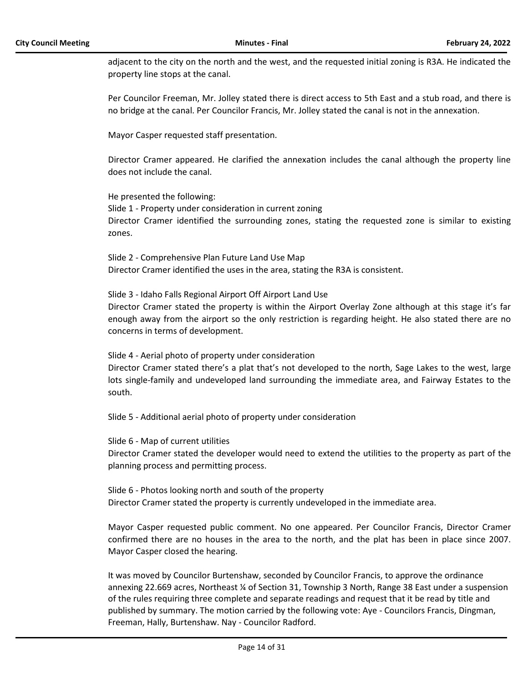adjacent to the city on the north and the west, and the requested initial zoning is R3A. He indicated the property line stops at the canal.

Per Councilor Freeman, Mr. Jolley stated there is direct access to 5th East and a stub road, and there is no bridge at the canal. Per Councilor Francis, Mr. Jolley stated the canal is not in the annexation.

Mayor Casper requested staff presentation.

Director Cramer appeared. He clarified the annexation includes the canal although the property line does not include the canal.

He presented the following: Slide 1 - Property under consideration in current zoning Director Cramer identified the surrounding zones, stating the requested zone is similar to existing zones.

Slide 2 - Comprehensive Plan Future Land Use Map Director Cramer identified the uses in the area, stating the R3A is consistent.

Slide 3 - Idaho Falls Regional Airport Off Airport Land Use Director Cramer stated the property is within the Airport Overlay Zone although at this stage it's far enough away from the airport so the only restriction is regarding height. He also stated there are no concerns in terms of development.

Slide 4 - Aerial photo of property under consideration Director Cramer stated there's a plat that's not developed to the north, Sage Lakes to the west, large lots single-family and undeveloped land surrounding the immediate area, and Fairway Estates to the south.

Slide 5 - Additional aerial photo of property under consideration

Slide 6 - Map of current utilities Director Cramer stated the developer would need to extend the utilities to the property as part of the planning process and permitting process.

Slide 6 - Photos looking north and south of the property Director Cramer stated the property is currently undeveloped in the immediate area.

Mayor Casper requested public comment. No one appeared. Per Councilor Francis, Director Cramer confirmed there are no houses in the area to the north, and the plat has been in place since 2007. Mayor Casper closed the hearing.

It was moved by Councilor Burtenshaw, seconded by Councilor Francis, to approve the ordinance annexing 22.669 acres, Northeast ¼ of Section 31, Township 3 North, Range 38 East under a suspension of the rules requiring three complete and separate readings and request that it be read by title and published by summary. The motion carried by the following vote: Aye - Councilors Francis, Dingman, Freeman, Hally, Burtenshaw. Nay - Councilor Radford.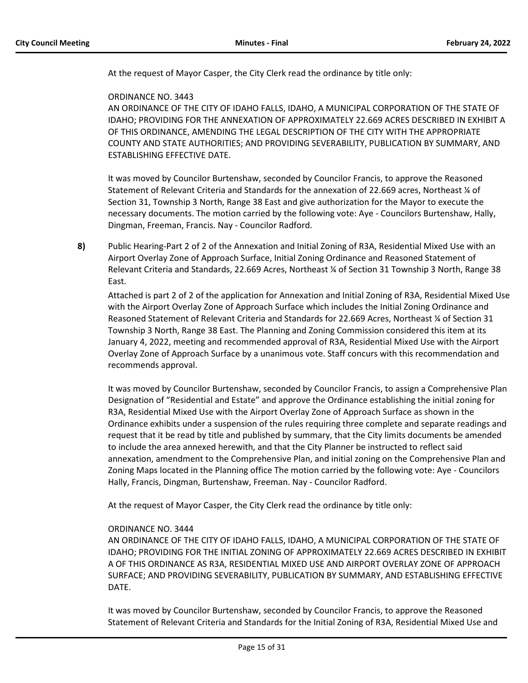At the request of Mayor Casper, the City Clerk read the ordinance by title only:

# ORDINANCE NO. 3443

AN ORDINANCE OF THE CITY OF IDAHO FALLS, IDAHO, A MUNICIPAL CORPORATION OF THE STATE OF IDAHO; PROVIDING FOR THE ANNEXATION OF APPROXIMATELY 22.669 ACRES DESCRIBED IN EXHIBIT A OF THIS ORDINANCE, AMENDING THE LEGAL DESCRIPTION OF THE CITY WITH THE APPROPRIATE COUNTY AND STATE AUTHORITIES; AND PROVIDING SEVERABILITY, PUBLICATION BY SUMMARY, AND ESTABLISHING EFFECTIVE DATE.

It was moved by Councilor Burtenshaw, seconded by Councilor Francis, to approve the Reasoned Statement of Relevant Criteria and Standards for the annexation of 22.669 acres, Northeast ¼ of Section 31, Township 3 North, Range 38 East and give authorization for the Mayor to execute the necessary documents. The motion carried by the following vote: Aye - Councilors Burtenshaw, Hally, Dingman, Freeman, Francis. Nay - Councilor Radford.

**8)** Public Hearing-Part 2 of 2 of the Annexation and Initial Zoning of R3A, Residential Mixed Use with an Airport Overlay Zone of Approach Surface, Initial Zoning Ordinance and Reasoned Statement of Relevant Criteria and Standards, 22.669 Acres, Northeast ¼ of Section 31 Township 3 North, Range 38 East.

Attached is part 2 of 2 of the application for Annexation and Initial Zoning of R3A, Residential Mixed Use with the Airport Overlay Zone of Approach Surface which includes the Initial Zoning Ordinance and Reasoned Statement of Relevant Criteria and Standards for 22.669 Acres, Northeast ¼ of Section 31 Township 3 North, Range 38 East. The Planning and Zoning Commission considered this item at its January 4, 2022, meeting and recommended approval of R3A, Residential Mixed Use with the Airport Overlay Zone of Approach Surface by a unanimous vote. Staff concurs with this recommendation and recommends approval.

It was moved by Councilor Burtenshaw, seconded by Councilor Francis, to assign a Comprehensive Plan Designation of "Residential and Estate" and approve the Ordinance establishing the initial zoning for R3A, Residential Mixed Use with the Airport Overlay Zone of Approach Surface as shown in the Ordinance exhibits under a suspension of the rules requiring three complete and separate readings and request that it be read by title and published by summary, that the City limits documents be amended to include the area annexed herewith, and that the City Planner be instructed to reflect said annexation, amendment to the Comprehensive Plan, and initial zoning on the Comprehensive Plan and Zoning Maps located in the Planning office The motion carried by the following vote: Aye - Councilors Hally, Francis, Dingman, Burtenshaw, Freeman. Nay - Councilor Radford.

At the request of Mayor Casper, the City Clerk read the ordinance by title only:

# ORDINANCE NO. 3444

AN ORDINANCE OF THE CITY OF IDAHO FALLS, IDAHO, A MUNICIPAL CORPORATION OF THE STATE OF IDAHO; PROVIDING FOR THE INITIAL ZONING OF APPROXIMATELY 22.669 ACRES DESCRIBED IN EXHIBIT A OF THIS ORDINANCE AS R3A, RESIDENTIAL MIXED USE AND AIRPORT OVERLAY ZONE OF APPROACH SURFACE; AND PROVIDING SEVERABILITY, PUBLICATION BY SUMMARY, AND ESTABLISHING EFFECTIVE DATE.

It was moved by Councilor Burtenshaw, seconded by Councilor Francis, to approve the Reasoned Statement of Relevant Criteria and Standards for the Initial Zoning of R3A, Residential Mixed Use and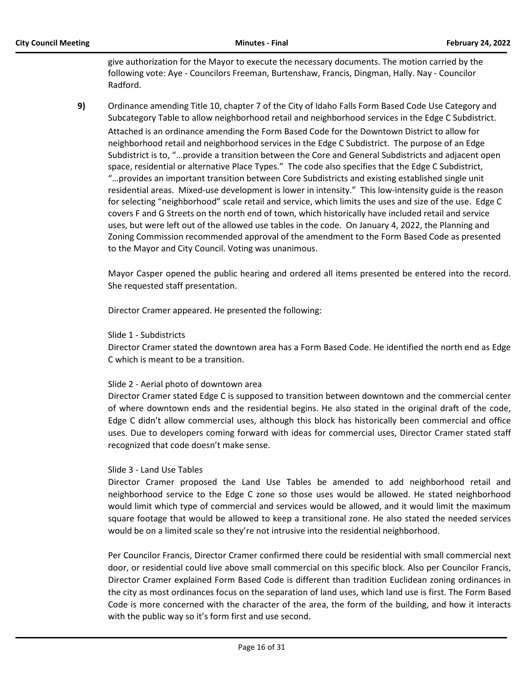give authorization for the Mayor to execute the necessary documents. The motion carried by the following vote: Aye - Councilors Freeman, Burtenshaw, Francis, Dingman, Hally. Nay - Councilor Radford.

**9)** Ordinance amending Title 10, chapter 7 of the City of Idaho Falls Form Based Code Use Category and Subcategory Table to allow neighborhood retail and neighborhood services in the Edge C Subdistrict. Attached is an ordinance amending the Form Based Code for the Downtown District to allow for neighborhood retail and neighborhood services in the Edge C Subdistrict. The purpose of an Edge Subdistrict is to, "…provide a transition between the Core and General Subdistricts and adjacent open space, residential or alternative Place Types." The code also specifies that the Edge C Subdistrict, "…provides an important transition between Core Subdistricts and existing established single unit residential areas. Mixed-use development is lower in intensity." This low-intensity guide is the reason for selecting "neighborhood" scale retail and service, which limits the uses and size of the use. Edge C covers F and G Streets on the north end of town, which historically have included retail and service uses, but were left out of the allowed use tables in the code. On January 4, 2022, the Planning and Zoning Commission recommended approval of the amendment to the Form Based Code as presented to the Mayor and City Council. Voting was unanimous.

Mayor Casper opened the public hearing and ordered all items presented be entered into the record. She requested staff presentation.

Director Cramer appeared. He presented the following:

#### Slide 1 - Subdistricts

Director Cramer stated the downtown area has a Form Based Code. He identified the north end as Edge C which is meant to be a transition.

#### Slide 2 - Aerial photo of downtown area

Director Cramer stated Edge C is supposed to transition between downtown and the commercial center of where downtown ends and the residential begins. He also stated in the original draft of the code, Edge C didn't allow commercial uses, although this block has historically been commercial and office uses. Due to developers coming forward with ideas for commercial uses, Director Cramer stated staff recognized that code doesn't make sense.

#### Slide 3 - Land Use Tables

Director Cramer proposed the Land Use Tables be amended to add neighborhood retail and neighborhood service to the Edge C zone so those uses would be allowed. He stated neighborhood would limit which type of commercial and services would be allowed, and it would limit the maximum square footage that would be allowed to keep a transitional zone. He also stated the needed services would be on a limited scale so they're not intrusive into the residential neighborhood.

Per Councilor Francis, Director Cramer confirmed there could be residential with small commercial next door, or residential could live above small commercial on this specific block. Also per Councilor Francis, Director Cramer explained Form Based Code is different than tradition Euclidean zoning ordinances in the city as most ordinances focus on the separation of land uses, which land use is first. The Form Based Code is more concerned with the character of the area, the form of the building, and how it interacts with the public way so it's form first and use second.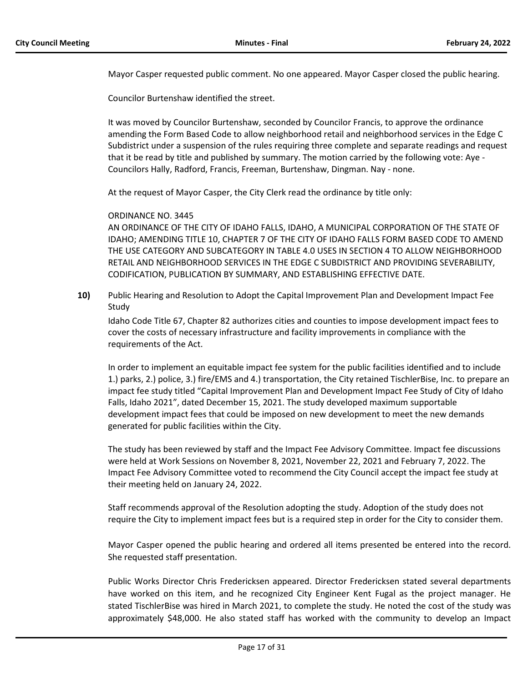Mayor Casper requested public comment. No one appeared. Mayor Casper closed the public hearing.

Councilor Burtenshaw identified the street.

It was moved by Councilor Burtenshaw, seconded by Councilor Francis, to approve the ordinance amending the Form Based Code to allow neighborhood retail and neighborhood services in the Edge C Subdistrict under a suspension of the rules requiring three complete and separate readings and request that it be read by title and published by summary. The motion carried by the following vote: Aye - Councilors Hally, Radford, Francis, Freeman, Burtenshaw, Dingman. Nay - none.

At the request of Mayor Casper, the City Clerk read the ordinance by title only:

#### ORDINANCE NO. 3445

AN ORDINANCE OF THE CITY OF IDAHO FALLS, IDAHO, A MUNICIPAL CORPORATION OF THE STATE OF IDAHO; AMENDING TITLE 10, CHAPTER 7 OF THE CITY OF IDAHO FALLS FORM BASED CODE TO AMEND THE USE CATEGORY AND SUBCATEGORY IN TABLE 4.0 USES IN SECTION 4 TO ALLOW NEIGHBORHOOD RETAIL AND NEIGHBORHOOD SERVICES IN THE EDGE C SUBDISTRICT AND PROVIDING SEVERABILITY, CODIFICATION, PUBLICATION BY SUMMARY, AND ESTABLISHING EFFECTIVE DATE.

**10)** Public Hearing and Resolution to Adopt the Capital Improvement Plan and Development Impact Fee Study

Idaho Code Title 67, Chapter 82 authorizes cities and counties to impose development impact fees to cover the costs of necessary infrastructure and facility improvements in compliance with the requirements of the Act.

In order to implement an equitable impact fee system for the public facilities identified and to include 1.) parks, 2.) police, 3.) fire/EMS and 4.) transportation, the City retained TischlerBise, Inc. to prepare an impact fee study titled "Capital Improvement Plan and Development Impact Fee Study of City of Idaho Falls, Idaho 2021", dated December 15, 2021. The study developed maximum supportable development impact fees that could be imposed on new development to meet the new demands generated for public facilities within the City.

The study has been reviewed by staff and the Impact Fee Advisory Committee. Impact fee discussions were held at Work Sessions on November 8, 2021, November 22, 2021 and February 7, 2022. The Impact Fee Advisory Committee voted to recommend the City Council accept the impact fee study at their meeting held on January 24, 2022.

Staff recommends approval of the Resolution adopting the study. Adoption of the study does not require the City to implement impact fees but is a required step in order for the City to consider them.

Mayor Casper opened the public hearing and ordered all items presented be entered into the record. She requested staff presentation.

Public Works Director Chris Fredericksen appeared. Director Fredericksen stated several departments have worked on this item, and he recognized City Engineer Kent Fugal as the project manager. He stated TischlerBise was hired in March 2021, to complete the study. He noted the cost of the study was approximately \$48,000. He also stated staff has worked with the community to develop an Impact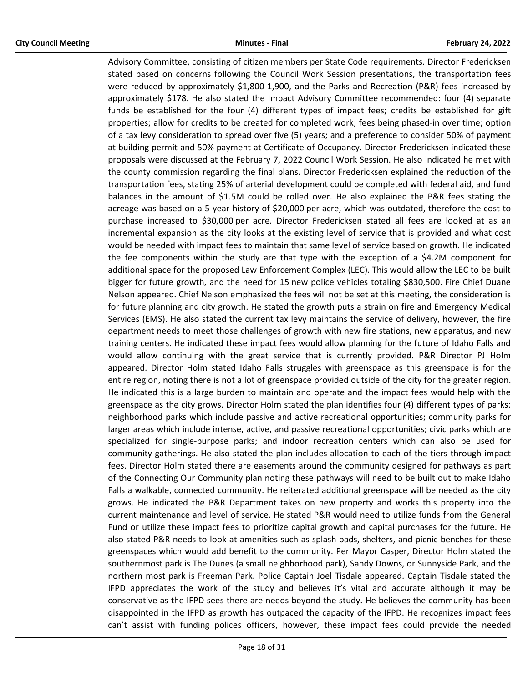Advisory Committee, consisting of citizen members per State Code requirements. Director Fredericksen stated based on concerns following the Council Work Session presentations, the transportation fees were reduced by approximately \$1,800-1,900, and the Parks and Recreation (P&R) fees increased by approximately \$178. He also stated the Impact Advisory Committee recommended: four (4) separate funds be established for the four (4) different types of impact fees; credits be established for gift properties; allow for credits to be created for completed work; fees being phased-in over time; option of a tax levy consideration to spread over five (5) years; and a preference to consider 50% of payment at building permit and 50% payment at Certificate of Occupancy. Director Fredericksen indicated these proposals were discussed at the February 7, 2022 Council Work Session. He also indicated he met with the county commission regarding the final plans. Director Fredericksen explained the reduction of the transportation fees, stating 25% of arterial development could be completed with federal aid, and fund balances in the amount of \$1.5M could be rolled over. He also explained the P&R fees stating the acreage was based on a 5-year history of \$20,000 per acre, which was outdated, therefore the cost to purchase increased to \$30,000 per acre. Director Fredericksen stated all fees are looked at as an incremental expansion as the city looks at the existing level of service that is provided and what cost would be needed with impact fees to maintain that same level of service based on growth. He indicated the fee components within the study are that type with the exception of a \$4.2M component for additional space for the proposed Law Enforcement Complex (LEC). This would allow the LEC to be built bigger for future growth, and the need for 15 new police vehicles totaling \$830,500. Fire Chief Duane Nelson appeared. Chief Nelson emphasized the fees will not be set at this meeting, the consideration is for future planning and city growth. He stated the growth puts a strain on fire and Emergency Medical Services (EMS). He also stated the current tax levy maintains the service of delivery, however, the fire department needs to meet those challenges of growth with new fire stations, new apparatus, and new training centers. He indicated these impact fees would allow planning for the future of Idaho Falls and would allow continuing with the great service that is currently provided. P&R Director PJ Holm appeared. Director Holm stated Idaho Falls struggles with greenspace as this greenspace is for the entire region, noting there is not a lot of greenspace provided outside of the city for the greater region. He indicated this is a large burden to maintain and operate and the impact fees would help with the greenspace as the city grows. Director Holm stated the plan identifies four (4) different types of parks: neighborhood parks which include passive and active recreational opportunities; community parks for larger areas which include intense, active, and passive recreational opportunities; civic parks which are specialized for single-purpose parks; and indoor recreation centers which can also be used for community gatherings. He also stated the plan includes allocation to each of the tiers through impact fees. Director Holm stated there are easements around the community designed for pathways as part of the Connecting Our Community plan noting these pathways will need to be built out to make Idaho Falls a walkable, connected community. He reiterated additional greenspace will be needed as the city grows. He indicated the P&R Department takes on new property and works this property into the current maintenance and level of service. He stated P&R would need to utilize funds from the General Fund or utilize these impact fees to prioritize capital growth and capital purchases for the future. He also stated P&R needs to look at amenities such as splash pads, shelters, and picnic benches for these greenspaces which would add benefit to the community. Per Mayor Casper, Director Holm stated the southernmost park is The Dunes (a small neighborhood park), Sandy Downs, or Sunnyside Park, and the northern most park is Freeman Park. Police Captain Joel Tisdale appeared. Captain Tisdale stated the IFPD appreciates the work of the study and believes it's vital and accurate although it may be conservative as the IFPD sees there are needs beyond the study. He believes the community has been disappointed in the IFPD as growth has outpaced the capacity of the IFPD. He recognizes impact fees can't assist with funding polices officers, however, these impact fees could provide the needed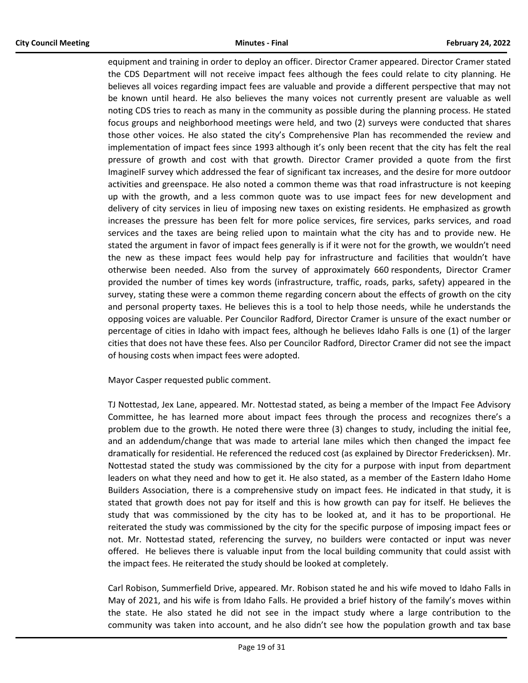equipment and training in order to deploy an officer. Director Cramer appeared. Director Cramer stated the CDS Department will not receive impact fees although the fees could relate to city planning. He believes all voices regarding impact fees are valuable and provide a different perspective that may not be known until heard. He also believes the many voices not currently present are valuable as well noting CDS tries to reach as many in the community as possible during the planning process. He stated focus groups and neighborhood meetings were held, and two (2) surveys were conducted that shares those other voices. He also stated the city's Comprehensive Plan has recommended the review and implementation of impact fees since 1993 although it's only been recent that the city has felt the real pressure of growth and cost with that growth. Director Cramer provided a quote from the first ImagineIF survey which addressed the fear of significant tax increases, and the desire for more outdoor activities and greenspace. He also noted a common theme was that road infrastructure is not keeping up with the growth, and a less common quote was to use impact fees for new development and delivery of city services in lieu of imposing new taxes on existing residents. He emphasized as growth increases the pressure has been felt for more police services, fire services, parks services, and road services and the taxes are being relied upon to maintain what the city has and to provide new. He stated the argument in favor of impact fees generally is if it were not for the growth, we wouldn't need the new as these impact fees would help pay for infrastructure and facilities that wouldn't have otherwise been needed. Also from the survey of approximately 660 respondents, Director Cramer provided the number of times key words (infrastructure, traffic, roads, parks, safety) appeared in the survey, stating these were a common theme regarding concern about the effects of growth on the city and personal property taxes. He believes this is a tool to help those needs, while he understands the opposing voices are valuable. Per Councilor Radford, Director Cramer is unsure of the exact number or percentage of cities in Idaho with impact fees, although he believes Idaho Falls is one (1) of the larger cities that does not have these fees. Also per Councilor Radford, Director Cramer did not see the impact of housing costs when impact fees were adopted.

Mayor Casper requested public comment.

TJ Nottestad, Jex Lane, appeared. Mr. Nottestad stated, as being a member of the Impact Fee Advisory Committee, he has learned more about impact fees through the process and recognizes there's a problem due to the growth. He noted there were three (3) changes to study, including the initial fee, and an addendum/change that was made to arterial lane miles which then changed the impact fee dramatically for residential. He referenced the reduced cost (as explained by Director Fredericksen). Mr. Nottestad stated the study was commissioned by the city for a purpose with input from department leaders on what they need and how to get it. He also stated, as a member of the Eastern Idaho Home Builders Association, there is a comprehensive study on impact fees. He indicated in that study, it is stated that growth does not pay for itself and this is how growth can pay for itself. He believes the study that was commissioned by the city has to be looked at, and it has to be proportional. He reiterated the study was commissioned by the city for the specific purpose of imposing impact fees or not. Mr. Nottestad stated, referencing the survey, no builders were contacted or input was never offered. He believes there is valuable input from the local building community that could assist with the impact fees. He reiterated the study should be looked at completely.

Carl Robison, Summerfield Drive, appeared. Mr. Robison stated he and his wife moved to Idaho Falls in May of 2021, and his wife is from Idaho Falls. He provided a brief history of the family's moves within the state. He also stated he did not see in the impact study where a large contribution to the community was taken into account, and he also didn't see how the population growth and tax base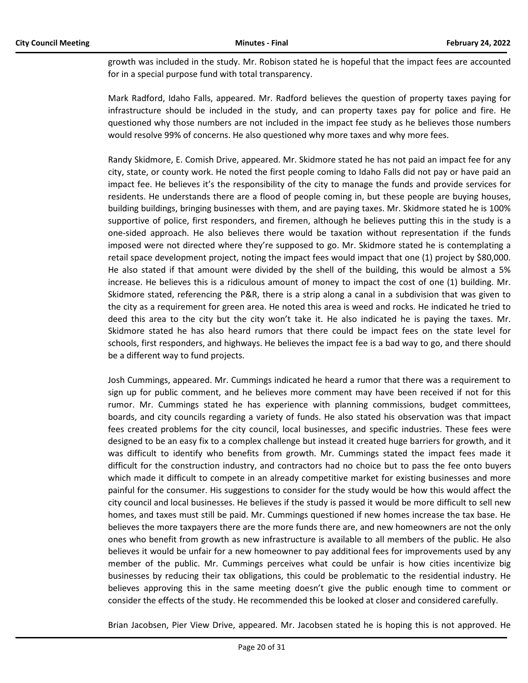growth was included in the study. Mr. Robison stated he is hopeful that the impact fees are accounted for in a special purpose fund with total transparency.

Mark Radford, Idaho Falls, appeared. Mr. Radford believes the question of property taxes paying for infrastructure should be included in the study, and can property taxes pay for police and fire. He questioned why those numbers are not included in the impact fee study as he believes those numbers would resolve 99% of concerns. He also questioned why more taxes and why more fees.

Randy Skidmore, E. Comish Drive, appeared. Mr. Skidmore stated he has not paid an impact fee for any city, state, or county work. He noted the first people coming to Idaho Falls did not pay or have paid an impact fee. He believes it's the responsibility of the city to manage the funds and provide services for residents. He understands there are a flood of people coming in, but these people are buying houses, building buildings, bringing businesses with them, and are paying taxes. Mr. Skidmore stated he is 100% supportive of police, first responders, and firemen, although he believes putting this in the study is a one-sided approach. He also believes there would be taxation without representation if the funds imposed were not directed where they're supposed to go. Mr. Skidmore stated he is contemplating a retail space development project, noting the impact fees would impact that one (1) project by \$80,000. He also stated if that amount were divided by the shell of the building, this would be almost a 5% increase. He believes this is a ridiculous amount of money to impact the cost of one (1) building. Mr. Skidmore stated, referencing the P&R, there is a strip along a canal in a subdivision that was given to the city as a requirement for green area. He noted this area is weed and rocks. He indicated he tried to deed this area to the city but the city won't take it. He also indicated he is paying the taxes. Mr. Skidmore stated he has also heard rumors that there could be impact fees on the state level for schools, first responders, and highways. He believes the impact fee is a bad way to go, and there should be a different way to fund projects.

Josh Cummings, appeared. Mr. Cummings indicated he heard a rumor that there was a requirement to sign up for public comment, and he believes more comment may have been received if not for this rumor. Mr. Cummings stated he has experience with planning commissions, budget committees, boards, and city councils regarding a variety of funds. He also stated his observation was that impact fees created problems for the city council, local businesses, and specific industries. These fees were designed to be an easy fix to a complex challenge but instead it created huge barriers for growth, and it was difficult to identify who benefits from growth. Mr. Cummings stated the impact fees made it difficult for the construction industry, and contractors had no choice but to pass the fee onto buyers which made it difficult to compete in an already competitive market for existing businesses and more painful for the consumer. His suggestions to consider for the study would be how this would affect the city council and local businesses. He believes if the study is passed it would be more difficult to sell new homes, and taxes must still be paid. Mr. Cummings questioned if new homes increase the tax base. He believes the more taxpayers there are the more funds there are, and new homeowners are not the only ones who benefit from growth as new infrastructure is available to all members of the public. He also believes it would be unfair for a new homeowner to pay additional fees for improvements used by any member of the public. Mr. Cummings perceives what could be unfair is how cities incentivize big businesses by reducing their tax obligations, this could be problematic to the residential industry. He believes approving this in the same meeting doesn't give the public enough time to comment or consider the effects of the study. He recommended this be looked at closer and considered carefully.

Brian Jacobsen, Pier View Drive, appeared. Mr. Jacobsen stated he is hoping this is not approved. He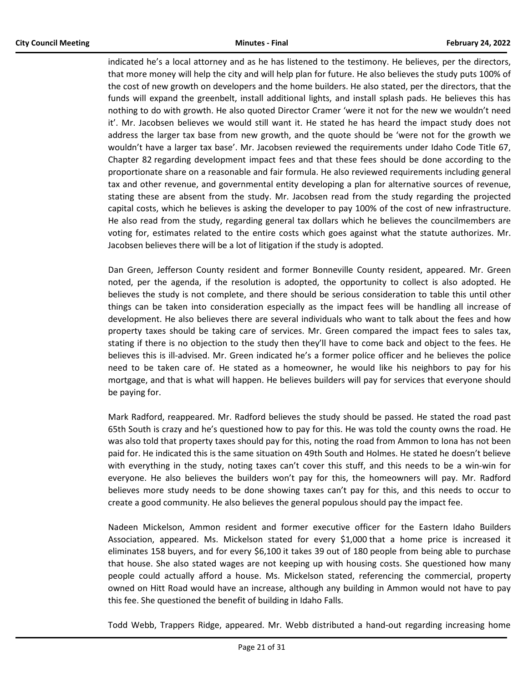indicated he's a local attorney and as he has listened to the testimony. He believes, per the directors, that more money will help the city and will help plan for future. He also believes the study puts 100% of the cost of new growth on developers and the home builders. He also stated, per the directors, that the funds will expand the greenbelt, install additional lights, and install splash pads. He believes this has nothing to do with growth. He also quoted Director Cramer 'were it not for the new we wouldn't need it'. Mr. Jacobsen believes we would still want it. He stated he has heard the impact study does not address the larger tax base from new growth, and the quote should be 'were not for the growth we wouldn't have a larger tax base'. Mr. Jacobsen reviewed the requirements under Idaho Code Title 67, Chapter 82 regarding development impact fees and that these fees should be done according to the proportionate share on a reasonable and fair formula. He also reviewed requirements including general tax and other revenue, and governmental entity developing a plan for alternative sources of revenue, stating these are absent from the study. Mr. Jacobsen read from the study regarding the projected capital costs, which he believes is asking the developer to pay 100% of the cost of new infrastructure. He also read from the study, regarding general tax dollars which he believes the councilmembers are voting for, estimates related to the entire costs which goes against what the statute authorizes. Mr. Jacobsen believes there will be a lot of litigation if the study is adopted.

Dan Green, Jefferson County resident and former Bonneville County resident, appeared. Mr. Green noted, per the agenda, if the resolution is adopted, the opportunity to collect is also adopted. He believes the study is not complete, and there should be serious consideration to table this until other things can be taken into consideration especially as the impact fees will be handling all increase of development. He also believes there are several individuals who want to talk about the fees and how property taxes should be taking care of services. Mr. Green compared the impact fees to sales tax, stating if there is no objection to the study then they'll have to come back and object to the fees. He believes this is ill-advised. Mr. Green indicated he's a former police officer and he believes the police need to be taken care of. He stated as a homeowner, he would like his neighbors to pay for his mortgage, and that is what will happen. He believes builders will pay for services that everyone should be paying for.

Mark Radford, reappeared. Mr. Radford believes the study should be passed. He stated the road past 65th South is crazy and he's questioned how to pay for this. He was told the county owns the road. He was also told that property taxes should pay for this, noting the road from Ammon to Iona has not been paid for. He indicated this is the same situation on 49th South and Holmes. He stated he doesn't believe with everything in the study, noting taxes can't cover this stuff, and this needs to be a win-win for everyone. He also believes the builders won't pay for this, the homeowners will pay. Mr. Radford believes more study needs to be done showing taxes can't pay for this, and this needs to occur to create a good community. He also believes the general populous should pay the impact fee.

Nadeen Mickelson, Ammon resident and former executive officer for the Eastern Idaho Builders Association, appeared. Ms. Mickelson stated for every \$1,000 that a home price is increased it eliminates 158 buyers, and for every \$6,100 it takes 39 out of 180 people from being able to purchase that house. She also stated wages are not keeping up with housing costs. She questioned how many people could actually afford a house. Ms. Mickelson stated, referencing the commercial, property owned on Hitt Road would have an increase, although any building in Ammon would not have to pay this fee. She questioned the benefit of building in Idaho Falls.

Todd Webb, Trappers Ridge, appeared. Mr. Webb distributed a hand-out regarding increasing home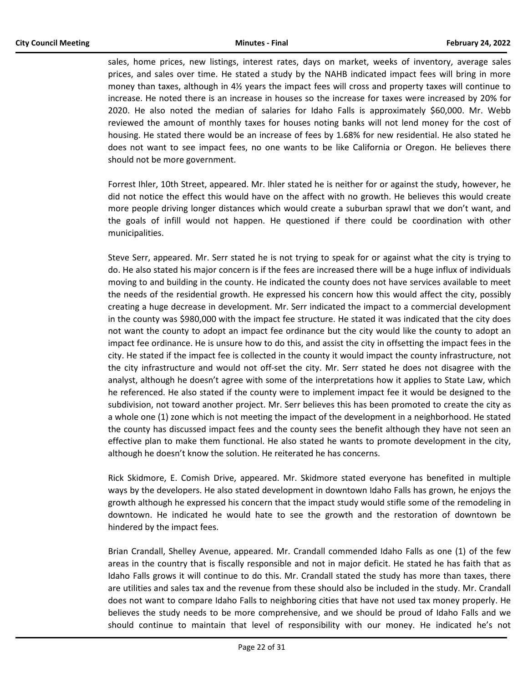sales, home prices, new listings, interest rates, days on market, weeks of inventory, average sales prices, and sales over time. He stated a study by the NAHB indicated impact fees will bring in more money than taxes, although in 4½ years the impact fees will cross and property taxes will continue to increase. He noted there is an increase in houses so the increase for taxes were increased by 20% for 2020. He also noted the median of salaries for Idaho Falls is approximately \$60,000. Mr. Webb reviewed the amount of monthly taxes for houses noting banks will not lend money for the cost of housing. He stated there would be an increase of fees by 1.68% for new residential. He also stated he does not want to see impact fees, no one wants to be like California or Oregon. He believes there should not be more government.

Forrest Ihler, 10th Street, appeared. Mr. Ihler stated he is neither for or against the study, however, he did not notice the effect this would have on the affect with no growth. He believes this would create more people driving longer distances which would create a suburban sprawl that we don't want, and the goals of infill would not happen. He questioned if there could be coordination with other municipalities.

Steve Serr, appeared. Mr. Serr stated he is not trying to speak for or against what the city is trying to do. He also stated his major concern is if the fees are increased there will be a huge influx of individuals moving to and building in the county. He indicated the county does not have services available to meet the needs of the residential growth. He expressed his concern how this would affect the city, possibly creating a huge decrease in development. Mr. Serr indicated the impact to a commercial development in the county was \$980,000 with the impact fee structure. He stated it was indicated that the city does not want the county to adopt an impact fee ordinance but the city would like the county to adopt an impact fee ordinance. He is unsure how to do this, and assist the city in offsetting the impact fees in the city. He stated if the impact fee is collected in the county it would impact the county infrastructure, not the city infrastructure and would not off-set the city. Mr. Serr stated he does not disagree with the analyst, although he doesn't agree with some of the interpretations how it applies to State Law, which he referenced. He also stated if the county were to implement impact fee it would be designed to the subdivision, not toward another project. Mr. Serr believes this has been promoted to create the city as a whole one (1) zone which is not meeting the impact of the development in a neighborhood. He stated the county has discussed impact fees and the county sees the benefit although they have not seen an effective plan to make them functional. He also stated he wants to promote development in the city, although he doesn't know the solution. He reiterated he has concerns.

Rick Skidmore, E. Comish Drive, appeared. Mr. Skidmore stated everyone has benefited in multiple ways by the developers. He also stated development in downtown Idaho Falls has grown, he enjoys the growth although he expressed his concern that the impact study would stifle some of the remodeling in downtown. He indicated he would hate to see the growth and the restoration of downtown be hindered by the impact fees.

Brian Crandall, Shelley Avenue, appeared. Mr. Crandall commended Idaho Falls as one (1) of the few areas in the country that is fiscally responsible and not in major deficit. He stated he has faith that as Idaho Falls grows it will continue to do this. Mr. Crandall stated the study has more than taxes, there are utilities and sales tax and the revenue from these should also be included in the study. Mr. Crandall does not want to compare Idaho Falls to neighboring cities that have not used tax money properly. He believes the study needs to be more comprehensive, and we should be proud of Idaho Falls and we should continue to maintain that level of responsibility with our money. He indicated he's not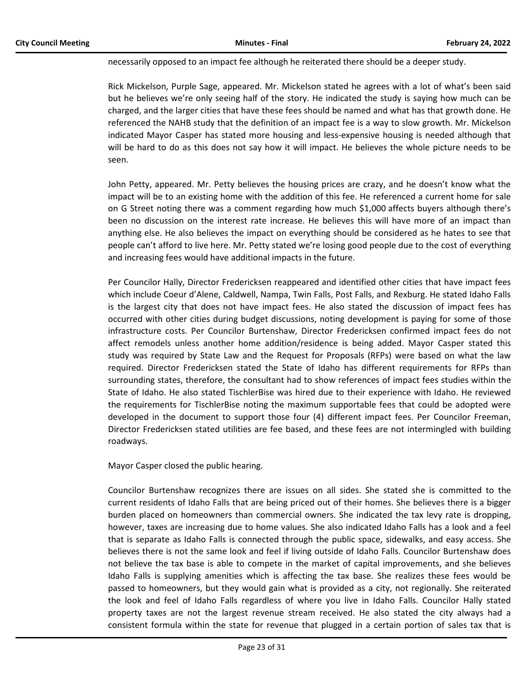necessarily opposed to an impact fee although he reiterated there should be a deeper study.

Rick Mickelson, Purple Sage, appeared. Mr. Mickelson stated he agrees with a lot of what's been said but he believes we're only seeing half of the story. He indicated the study is saying how much can be charged, and the larger cities that have these fees should be named and what has that growth done. He referenced the NAHB study that the definition of an impact fee is a way to slow growth. Mr. Mickelson indicated Mayor Casper has stated more housing and less-expensive housing is needed although that will be hard to do as this does not say how it will impact. He believes the whole picture needs to be seen.

John Petty, appeared. Mr. Petty believes the housing prices are crazy, and he doesn't know what the impact will be to an existing home with the addition of this fee. He referenced a current home for sale on G Street noting there was a comment regarding how much \$1,000 affects buyers although there's been no discussion on the interest rate increase. He believes this will have more of an impact than anything else. He also believes the impact on everything should be considered as he hates to see that people can't afford to live here. Mr. Petty stated we're losing good people due to the cost of everything and increasing fees would have additional impacts in the future.

Per Councilor Hally, Director Fredericksen reappeared and identified other cities that have impact fees which include Coeur d'Alene, Caldwell, Nampa, Twin Falls, Post Falls, and Rexburg. He stated Idaho Falls is the largest city that does not have impact fees. He also stated the discussion of impact fees has occurred with other cities during budget discussions, noting development is paying for some of those infrastructure costs. Per Councilor Burtenshaw, Director Fredericksen confirmed impact fees do not affect remodels unless another home addition/residence is being added. Mayor Casper stated this study was required by State Law and the Request for Proposals (RFPs) were based on what the law required. Director Fredericksen stated the State of Idaho has different requirements for RFPs than surrounding states, therefore, the consultant had to show references of impact fees studies within the State of Idaho. He also stated TischlerBise was hired due to their experience with Idaho. He reviewed the requirements for TischlerBise noting the maximum supportable fees that could be adopted were developed in the document to support those four (4) different impact fees. Per Councilor Freeman, Director Fredericksen stated utilities are fee based, and these fees are not intermingled with building roadways.

Mayor Casper closed the public hearing.

Councilor Burtenshaw recognizes there are issues on all sides. She stated she is committed to the current residents of Idaho Falls that are being priced out of their homes. She believes there is a bigger burden placed on homeowners than commercial owners. She indicated the tax levy rate is dropping, however, taxes are increasing due to home values. She also indicated Idaho Falls has a look and a feel that is separate as Idaho Falls is connected through the public space, sidewalks, and easy access. She believes there is not the same look and feel if living outside of Idaho Falls. Councilor Burtenshaw does not believe the tax base is able to compete in the market of capital improvements, and she believes Idaho Falls is supplying amenities which is affecting the tax base. She realizes these fees would be passed to homeowners, but they would gain what is provided as a city, not regionally. She reiterated the look and feel of Idaho Falls regardless of where you live in Idaho Falls. Councilor Hally stated property taxes are not the largest revenue stream received. He also stated the city always had a consistent formula within the state for revenue that plugged in a certain portion of sales tax that is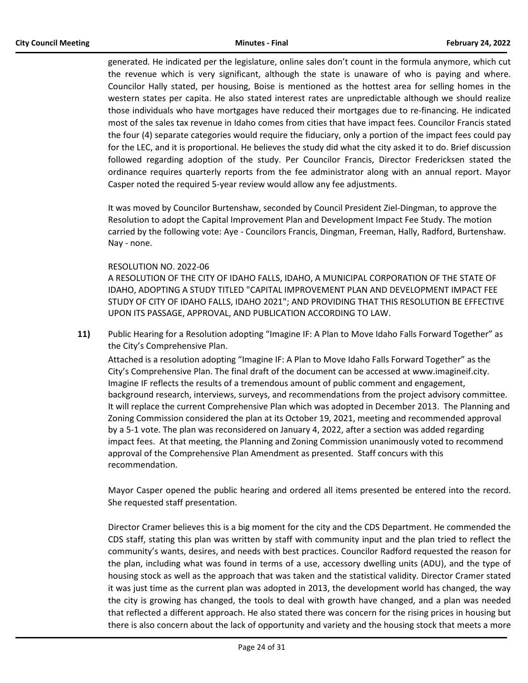generated. He indicated per the legislature, online sales don't count in the formula anymore, which cut the revenue which is very significant, although the state is unaware of who is paying and where. Councilor Hally stated, per housing, Boise is mentioned as the hottest area for selling homes in the western states per capita. He also stated interest rates are unpredictable although we should realize those individuals who have mortgages have reduced their mortgages due to re-financing. He indicated most of the sales tax revenue in Idaho comes from cities that have impact fees. Councilor Francis stated the four (4) separate categories would require the fiduciary, only a portion of the impact fees could pay for the LEC, and it is proportional. He believes the study did what the city asked it to do. Brief discussion followed regarding adoption of the study. Per Councilor Francis, Director Fredericksen stated the ordinance requires quarterly reports from the fee administrator along with an annual report. Mayor Casper noted the required 5-year review would allow any fee adjustments.

It was moved by Councilor Burtenshaw, seconded by Council President Ziel-Dingman, to approve the Resolution to adopt the Capital Improvement Plan and Development Impact Fee Study. The motion carried by the following vote: Aye - Councilors Francis, Dingman, Freeman, Hally, Radford, Burtenshaw. Nay - none.

# RESOLUTION NO. 2022-06

A RESOLUTION OF THE CITY OF IDAHO FALLS, IDAHO, A MUNICIPAL CORPORATION OF THE STATE OF IDAHO, ADOPTING A STUDY TITLED "CAPITAL IMPROVEMENT PLAN AND DEVELOPMENT IMPACT FEE STUDY OF CITY OF IDAHO FALLS, IDAHO 2021"; AND PROVIDING THAT THIS RESOLUTION BE EFFECTIVE UPON ITS PASSAGE, APPROVAL, AND PUBLICATION ACCORDING TO LAW.

**11)** Public Hearing for a Resolution adopting "Imagine IF: A Plan to Move Idaho Falls Forward Together" as the City's Comprehensive Plan.

Attached is a resolution adopting "Imagine IF: A Plan to Move Idaho Falls Forward Together" as the City's Comprehensive Plan. The final draft of the document can be accessed at www.imagineif.city. Imagine IF reflects the results of a tremendous amount of public comment and engagement, background research, interviews, surveys, and recommendations from the project advisory committee. It will replace the current Comprehensive Plan which was adopted in December 2013. The Planning and Zoning Commission considered the plan at its October 19, 2021, meeting and recommended approval by a 5-1 vote. The plan was reconsidered on January 4, 2022, after a section was added regarding impact fees. At that meeting, the Planning and Zoning Commission unanimously voted to recommend approval of the Comprehensive Plan Amendment as presented. Staff concurs with this recommendation.

Mayor Casper opened the public hearing and ordered all items presented be entered into the record. She requested staff presentation.

Director Cramer believes this is a big moment for the city and the CDS Department. He commended the CDS staff, stating this plan was written by staff with community input and the plan tried to reflect the community's wants, desires, and needs with best practices. Councilor Radford requested the reason for the plan, including what was found in terms of a use, accessory dwelling units (ADU), and the type of housing stock as well as the approach that was taken and the statistical validity. Director Cramer stated it was just time as the current plan was adopted in 2013, the development world has changed, the way the city is growing has changed, the tools to deal with growth have changed, and a plan was needed that reflected a different approach. He also stated there was concern for the rising prices in housing but there is also concern about the lack of opportunity and variety and the housing stock that meets a more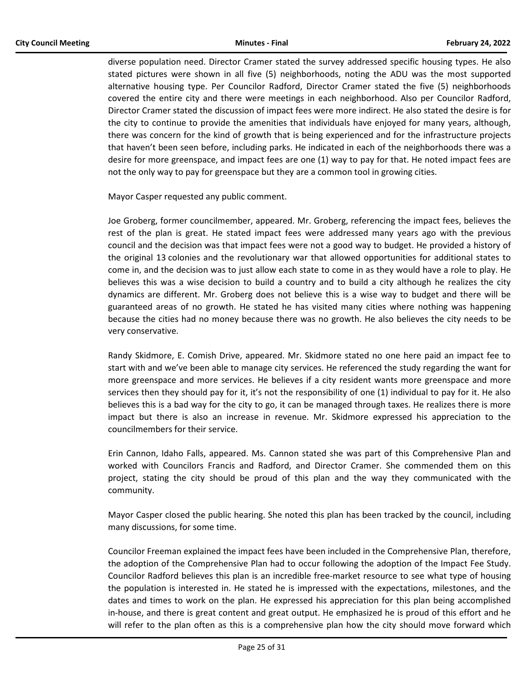diverse population need. Director Cramer stated the survey addressed specific housing types. He also stated pictures were shown in all five (5) neighborhoods, noting the ADU was the most supported alternative housing type. Per Councilor Radford, Director Cramer stated the five (5) neighborhoods covered the entire city and there were meetings in each neighborhood. Also per Councilor Radford, Director Cramer stated the discussion of impact fees were more indirect. He also stated the desire is for the city to continue to provide the amenities that individuals have enjoyed for many years, although, there was concern for the kind of growth that is being experienced and for the infrastructure projects that haven't been seen before, including parks. He indicated in each of the neighborhoods there was a desire for more greenspace, and impact fees are one (1) way to pay for that. He noted impact fees are not the only way to pay for greenspace but they are a common tool in growing cities.

Mayor Casper requested any public comment.

Joe Groberg, former councilmember, appeared. Mr. Groberg, referencing the impact fees, believes the rest of the plan is great. He stated impact fees were addressed many years ago with the previous council and the decision was that impact fees were not a good way to budget. He provided a history of the original 13 colonies and the revolutionary war that allowed opportunities for additional states to come in, and the decision was to just allow each state to come in as they would have a role to play. He believes this was a wise decision to build a country and to build a city although he realizes the city dynamics are different. Mr. Groberg does not believe this is a wise way to budget and there will be guaranteed areas of no growth. He stated he has visited many cities where nothing was happening because the cities had no money because there was no growth. He also believes the city needs to be very conservative.

Randy Skidmore, E. Comish Drive, appeared. Mr. Skidmore stated no one here paid an impact fee to start with and we've been able to manage city services. He referenced the study regarding the want for more greenspace and more services. He believes if a city resident wants more greenspace and more services then they should pay for it, it's not the responsibility of one (1) individual to pay for it. He also believes this is a bad way for the city to go, it can be managed through taxes. He realizes there is more impact but there is also an increase in revenue. Mr. Skidmore expressed his appreciation to the councilmembers for their service.

Erin Cannon, Idaho Falls, appeared. Ms. Cannon stated she was part of this Comprehensive Plan and worked with Councilors Francis and Radford, and Director Cramer. She commended them on this project, stating the city should be proud of this plan and the way they communicated with the community.

Mayor Casper closed the public hearing. She noted this plan has been tracked by the council, including many discussions, for some time.

Councilor Freeman explained the impact fees have been included in the Comprehensive Plan, therefore, the adoption of the Comprehensive Plan had to occur following the adoption of the Impact Fee Study. Councilor Radford believes this plan is an incredible free-market resource to see what type of housing the population is interested in. He stated he is impressed with the expectations, milestones, and the dates and times to work on the plan. He expressed his appreciation for this plan being accomplished in-house, and there is great content and great output. He emphasized he is proud of this effort and he will refer to the plan often as this is a comprehensive plan how the city should move forward which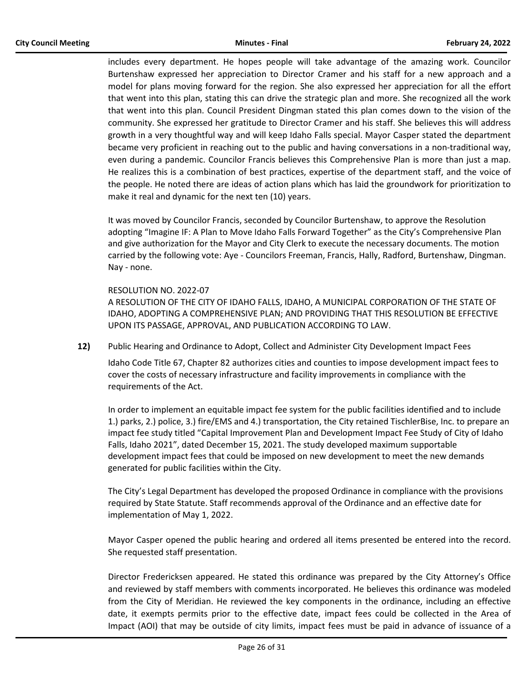includes every department. He hopes people will take advantage of the amazing work. Councilor Burtenshaw expressed her appreciation to Director Cramer and his staff for a new approach and a model for plans moving forward for the region. She also expressed her appreciation for all the effort that went into this plan, stating this can drive the strategic plan and more. She recognized all the work that went into this plan. Council President Dingman stated this plan comes down to the vision of the community. She expressed her gratitude to Director Cramer and his staff. She believes this will address growth in a very thoughtful way and will keep Idaho Falls special. Mayor Casper stated the department became very proficient in reaching out to the public and having conversations in a non-traditional way, even during a pandemic. Councilor Francis believes this Comprehensive Plan is more than just a map. He realizes this is a combination of best practices, expertise of the department staff, and the voice of the people. He noted there are ideas of action plans which has laid the groundwork for prioritization to make it real and dynamic for the next ten (10) years.

It was moved by Councilor Francis, seconded by Councilor Burtenshaw, to approve the Resolution adopting "Imagine IF: A Plan to Move Idaho Falls Forward Together" as the City's Comprehensive Plan and give authorization for the Mayor and City Clerk to execute the necessary documents. The motion carried by the following vote: Aye - Councilors Freeman, Francis, Hally, Radford, Burtenshaw, Dingman. Nay - none.

#### RESOLUTION NO. 2022-07

A RESOLUTION OF THE CITY OF IDAHO FALLS, IDAHO, A MUNICIPAL CORPORATION OF THE STATE OF IDAHO, ADOPTING A COMPREHENSIVE PLAN; AND PROVIDING THAT THIS RESOLUTION BE EFFECTIVE UPON ITS PASSAGE, APPROVAL, AND PUBLICATION ACCORDING TO LAW.

**12)** Public Hearing and Ordinance to Adopt, Collect and Administer City Development Impact Fees

Idaho Code Title 67, Chapter 82 authorizes cities and counties to impose development impact fees to cover the costs of necessary infrastructure and facility improvements in compliance with the requirements of the Act.

In order to implement an equitable impact fee system for the public facilities identified and to include 1.) parks, 2.) police, 3.) fire/EMS and 4.) transportation, the City retained TischlerBise, Inc. to prepare an impact fee study titled "Capital Improvement Plan and Development Impact Fee Study of City of Idaho Falls, Idaho 2021", dated December 15, 2021. The study developed maximum supportable development impact fees that could be imposed on new development to meet the new demands generated for public facilities within the City.

The City's Legal Department has developed the proposed Ordinance in compliance with the provisions required by State Statute. Staff recommends approval of the Ordinance and an effective date for implementation of May 1, 2022.

Mayor Casper opened the public hearing and ordered all items presented be entered into the record. She requested staff presentation.

Director Fredericksen appeared. He stated this ordinance was prepared by the City Attorney's Office and reviewed by staff members with comments incorporated. He believes this ordinance was modeled from the City of Meridian. He reviewed the key components in the ordinance, including an effective date, it exempts permits prior to the effective date, impact fees could be collected in the Area of Impact (AOI) that may be outside of city limits, impact fees must be paid in advance of issuance of a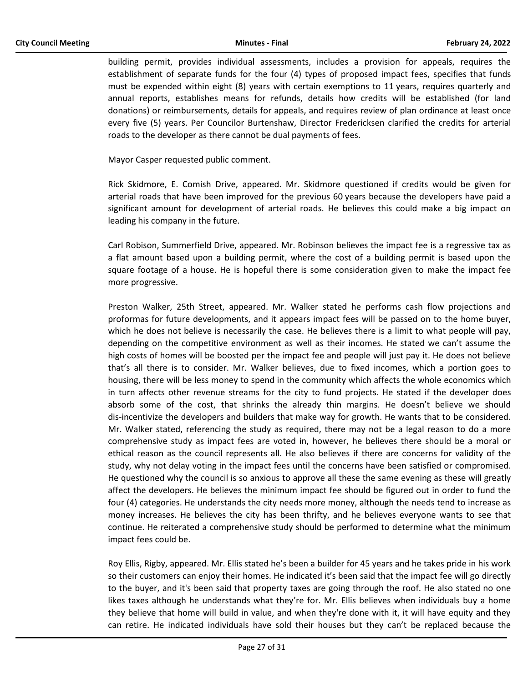building permit, provides individual assessments, includes a provision for appeals, requires the establishment of separate funds for the four (4) types of proposed impact fees, specifies that funds must be expended within eight (8) years with certain exemptions to 11 years, requires quarterly and annual reports, establishes means for refunds, details how credits will be established (for land donations) or reimbursements, details for appeals, and requires review of plan ordinance at least once every five (5) years. Per Councilor Burtenshaw, Director Fredericksen clarified the credits for arterial roads to the developer as there cannot be dual payments of fees.

Mayor Casper requested public comment.

Rick Skidmore, E. Comish Drive, appeared. Mr. Skidmore questioned if credits would be given for arterial roads that have been improved for the previous 60 years because the developers have paid a significant amount for development of arterial roads. He believes this could make a big impact on leading his company in the future.

Carl Robison, Summerfield Drive, appeared. Mr. Robinson believes the impact fee is a regressive tax as a flat amount based upon a building permit, where the cost of a building permit is based upon the square footage of a house. He is hopeful there is some consideration given to make the impact fee more progressive.

Preston Walker, 25th Street, appeared. Mr. Walker stated he performs cash flow projections and proformas for future developments, and it appears impact fees will be passed on to the home buyer, which he does not believe is necessarily the case. He believes there is a limit to what people will pay, depending on the competitive environment as well as their incomes. He stated we can't assume the high costs of homes will be boosted per the impact fee and people will just pay it. He does not believe that's all there is to consider. Mr. Walker believes, due to fixed incomes, which a portion goes to housing, there will be less money to spend in the community which affects the whole economics which in turn affects other revenue streams for the city to fund projects. He stated if the developer does absorb some of the cost, that shrinks the already thin margins. He doesn't believe we should dis-incentivize the developers and builders that make way for growth. He wants that to be considered. Mr. Walker stated, referencing the study as required, there may not be a legal reason to do a more comprehensive study as impact fees are voted in, however, he believes there should be a moral or ethical reason as the council represents all. He also believes if there are concerns for validity of the study, why not delay voting in the impact fees until the concerns have been satisfied or compromised. He questioned why the council is so anxious to approve all these the same evening as these will greatly affect the developers. He believes the minimum impact fee should be figured out in order to fund the four (4) categories. He understands the city needs more money, although the needs tend to increase as money increases. He believes the city has been thrifty, and he believes everyone wants to see that continue. He reiterated a comprehensive study should be performed to determine what the minimum impact fees could be.

Roy Ellis, Rigby, appeared. Mr. Ellis stated he's been a builder for 45 years and he takes pride in his work so their customers can enjoy their homes. He indicated it's been said that the impact fee will go directly to the buyer, and it's been said that property taxes are going through the roof. He also stated no one likes taxes although he understands what they're for. Mr. Ellis believes when individuals buy a home they believe that home will build in value, and when they're done with it, it will have equity and they can retire. He indicated individuals have sold their houses but they can't be replaced because the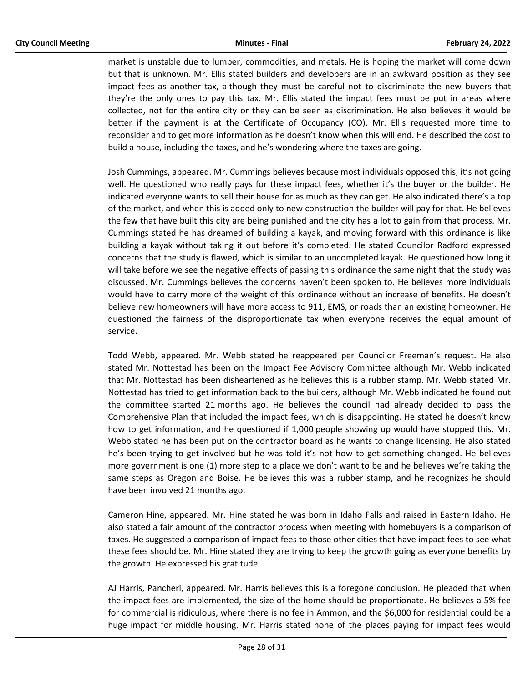market is unstable due to lumber, commodities, and metals. He is hoping the market will come down but that is unknown. Mr. Ellis stated builders and developers are in an awkward position as they see impact fees as another tax, although they must be careful not to discriminate the new buyers that they're the only ones to pay this tax. Mr. Ellis stated the impact fees must be put in areas where collected, not for the entire city or they can be seen as discrimination. He also believes it would be better if the payment is at the Certificate of Occupancy (CO). Mr. Ellis requested more time to reconsider and to get more information as he doesn't know when this will end. He described the cost to build a house, including the taxes, and he's wondering where the taxes are going.

Josh Cummings, appeared. Mr. Cummings believes because most individuals opposed this, it's not going well. He questioned who really pays for these impact fees, whether it's the buyer or the builder. He indicated everyone wants to sell their house for as much as they can get. He also indicated there's a top of the market, and when this is added only to new construction the builder will pay for that. He believes the few that have built this city are being punished and the city has a lot to gain from that process. Mr. Cummings stated he has dreamed of building a kayak, and moving forward with this ordinance is like building a kayak without taking it out before it's completed. He stated Councilor Radford expressed concerns that the study is flawed, which is similar to an uncompleted kayak. He questioned how long it will take before we see the negative effects of passing this ordinance the same night that the study was discussed. Mr. Cummings believes the concerns haven't been spoken to. He believes more individuals would have to carry more of the weight of this ordinance without an increase of benefits. He doesn't believe new homeowners will have more access to 911, EMS, or roads than an existing homeowner. He questioned the fairness of the disproportionate tax when everyone receives the equal amount of service.

Todd Webb, appeared. Mr. Webb stated he reappeared per Councilor Freeman's request. He also stated Mr. Nottestad has been on the Impact Fee Advisory Committee although Mr. Webb indicated that Mr. Nottestad has been disheartened as he believes this is a rubber stamp. Mr. Webb stated Mr. Nottestad has tried to get information back to the builders, although Mr. Webb indicated he found out the committee started 21 months ago. He believes the council had already decided to pass the Comprehensive Plan that included the impact fees, which is disappointing. He stated he doesn't know how to get information, and he questioned if 1,000 people showing up would have stopped this. Mr. Webb stated he has been put on the contractor board as he wants to change licensing. He also stated he's been trying to get involved but he was told it's not how to get something changed. He believes more government is one (1) more step to a place we don't want to be and he believes we're taking the same steps as Oregon and Boise. He believes this was a rubber stamp, and he recognizes he should have been involved 21 months ago.

Cameron Hine, appeared. Mr. Hine stated he was born in Idaho Falls and raised in Eastern Idaho. He also stated a fair amount of the contractor process when meeting with homebuyers is a comparison of taxes. He suggested a comparison of impact fees to those other cities that have impact fees to see what these fees should be. Mr. Hine stated they are trying to keep the growth going as everyone benefits by the growth. He expressed his gratitude.

AJ Harris, Pancheri, appeared. Mr. Harris believes this is a foregone conclusion. He pleaded that when the impact fees are implemented, the size of the home should be proportionate. He believes a 5% fee for commercial is ridiculous, where there is no fee in Ammon, and the \$6,000 for residential could be a huge impact for middle housing. Mr. Harris stated none of the places paying for impact fees would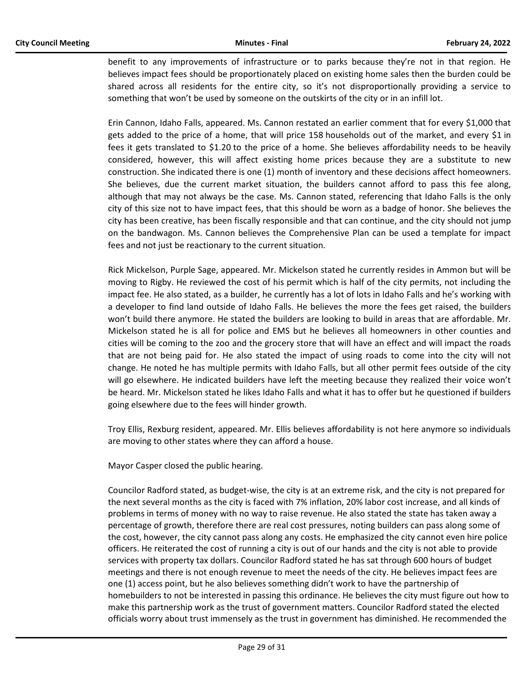benefit to any improvements of infrastructure or to parks because they're not in that region. He believes impact fees should be proportionately placed on existing home sales then the burden could be shared across all residents for the entire city, so it's not disproportionally providing a service to something that won't be used by someone on the outskirts of the city or in an infill lot.

Erin Cannon, Idaho Falls, appeared. Ms. Cannon restated an earlier comment that for every \$1,000 that gets added to the price of a home, that will price 158 households out of the market, and every \$1 in fees it gets translated to \$1.20 to the price of a home. She believes affordability needs to be heavily considered, however, this will affect existing home prices because they are a substitute to new construction. She indicated there is one (1) month of inventory and these decisions affect homeowners. She believes, due the current market situation, the builders cannot afford to pass this fee along, although that may not always be the case. Ms. Cannon stated, referencing that Idaho Falls is the only city of this size not to have impact fees, that this should be worn as a badge of honor. She believes the city has been creative, has been fiscally responsible and that can continue, and the city should not jump on the bandwagon. Ms. Cannon believes the Comprehensive Plan can be used a template for impact fees and not just be reactionary to the current situation.

Rick Mickelson, Purple Sage, appeared. Mr. Mickelson stated he currently resides in Ammon but will be moving to Rigby. He reviewed the cost of his permit which is half of the city permits, not including the impact fee. He also stated, as a builder, he currently has a lot of lots in Idaho Falls and he's working with a developer to find land outside of Idaho Falls. He believes the more the fees get raised, the builders won't build there anymore. He stated the builders are looking to build in areas that are affordable. Mr. Mickelson stated he is all for police and EMS but he believes all homeowners in other counties and cities will be coming to the zoo and the grocery store that will have an effect and will impact the roads that are not being paid for. He also stated the impact of using roads to come into the city will not change. He noted he has multiple permits with Idaho Falls, but all other permit fees outside of the city will go elsewhere. He indicated builders have left the meeting because they realized their voice won't be heard. Mr. Mickelson stated he likes Idaho Falls and what it has to offer but he questioned if builders going elsewhere due to the fees will hinder growth.

Troy Ellis, Rexburg resident, appeared. Mr. Ellis believes affordability is not here anymore so individuals are moving to other states where they can afford a house.

Mayor Casper closed the public hearing.

Councilor Radford stated, as budget-wise, the city is at an extreme risk, and the city is not prepared for the next several months as the city is faced with 7% inflation, 20% labor cost increase, and all kinds of problems in terms of money with no way to raise revenue. He also stated the state has taken away a percentage of growth, therefore there are real cost pressures, noting builders can pass along some of the cost, however, the city cannot pass along any costs. He emphasized the city cannot even hire police officers. He reiterated the cost of running a city is out of our hands and the city is not able to provide services with property tax dollars. Councilor Radford stated he has sat through 600 hours of budget meetings and there is not enough revenue to meet the needs of the city. He believes impact fees are one (1) access point, but he also believes something didn't work to have the partnership of homebuilders to not be interested in passing this ordinance. He believes the city must figure out how to make this partnership work as the trust of government matters. Councilor Radford stated the elected officials worry about trust immensely as the trust in government has diminished. He recommended the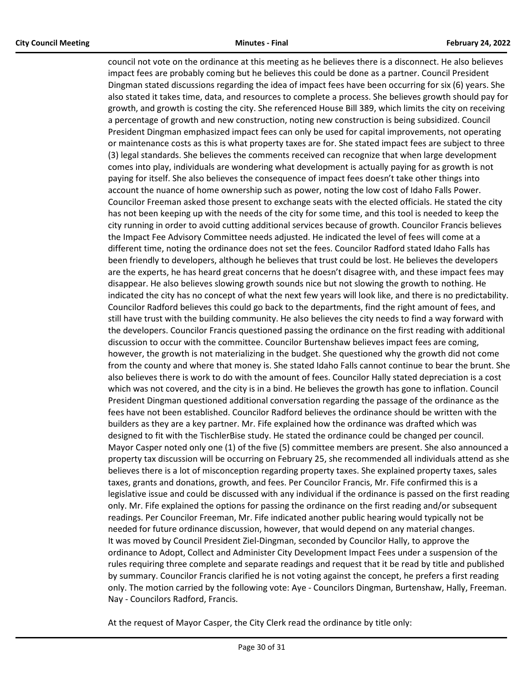council not vote on the ordinance at this meeting as he believes there is a disconnect. He also believes impact fees are probably coming but he believes this could be done as a partner. Council President Dingman stated discussions regarding the idea of impact fees have been occurring for six (6) years. She also stated it takes time, data, and resources to complete a process. She believes growth should pay for growth, and growth is costing the city. She referenced House Bill 389, which limits the city on receiving a percentage of growth and new construction, noting new construction is being subsidized. Council President Dingman emphasized impact fees can only be used for capital improvements, not operating or maintenance costs as this is what property taxes are for. She stated impact fees are subject to three (3) legal standards. She believes the comments received can recognize that when large development comes into play, individuals are wondering what development is actually paying for as growth is not paying for itself. She also believes the consequence of impact fees doesn't take other things into account the nuance of home ownership such as power, noting the low cost of Idaho Falls Power. Councilor Freeman asked those present to exchange seats with the elected officials. He stated the city has not been keeping up with the needs of the city for some time, and this tool is needed to keep the city running in order to avoid cutting additional services because of growth. Councilor Francis believes the Impact Fee Advisory Committee needs adjusted. He indicated the level of fees will come at a different time, noting the ordinance does not set the fees. Councilor Radford stated Idaho Falls has been friendly to developers, although he believes that trust could be lost. He believes the developers are the experts, he has heard great concerns that he doesn't disagree with, and these impact fees may disappear. He also believes slowing growth sounds nice but not slowing the growth to nothing. He indicated the city has no concept of what the next few years will look like, and there is no predictability. Councilor Radford believes this could go back to the departments, find the right amount of fees, and still have trust with the building community. He also believes the city needs to find a way forward with the developers. Councilor Francis questioned passing the ordinance on the first reading with additional discussion to occur with the committee. Councilor Burtenshaw believes impact fees are coming, however, the growth is not materializing in the budget. She questioned why the growth did not come from the county and where that money is. She stated Idaho Falls cannot continue to bear the brunt. She also believes there is work to do with the amount of fees. Councilor Hally stated depreciation is a cost which was not covered, and the city is in a bind. He believes the growth has gone to inflation. Council President Dingman questioned additional conversation regarding the passage of the ordinance as the fees have not been established. Councilor Radford believes the ordinance should be written with the builders as they are a key partner. Mr. Fife explained how the ordinance was drafted which was designed to fit with the TischlerBise study. He stated the ordinance could be changed per council. Mayor Casper noted only one (1) of the five (5) committee members are present. She also announced a property tax discussion will be occurring on February 25, she recommended all individuals attend as she believes there is a lot of misconception regarding property taxes. She explained property taxes, sales taxes, grants and donations, growth, and fees. Per Councilor Francis, Mr. Fife confirmed this is a legislative issue and could be discussed with any individual if the ordinance is passed on the first reading only. Mr. Fife explained the options for passing the ordinance on the first reading and/or subsequent readings. Per Councilor Freeman, Mr. Fife indicated another public hearing would typically not be needed for future ordinance discussion, however, that would depend on any material changes. It was moved by Council President Ziel-Dingman, seconded by Councilor Hally, to approve the ordinance to Adopt, Collect and Administer City Development Impact Fees under a suspension of the rules requiring three complete and separate readings and request that it be read by title and published by summary. Councilor Francis clarified he is not voting against the concept, he prefers a first reading only. The motion carried by the following vote: Aye - Councilors Dingman, Burtenshaw, Hally, Freeman. Nay - Councilors Radford, Francis.

At the request of Mayor Casper, the City Clerk read the ordinance by title only: